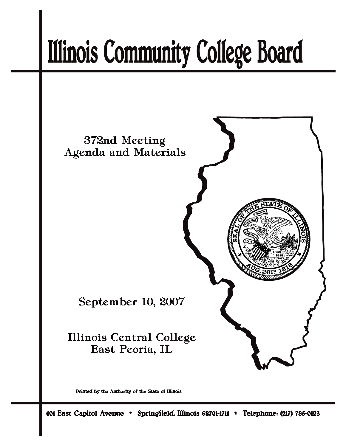# **Illinois Community College Board**



Printed by the Authority of the State of Illinois

401 East Capitol Avenue \* Springfield, Illinois 62701-1711 \* Telephone: (217) 785-0123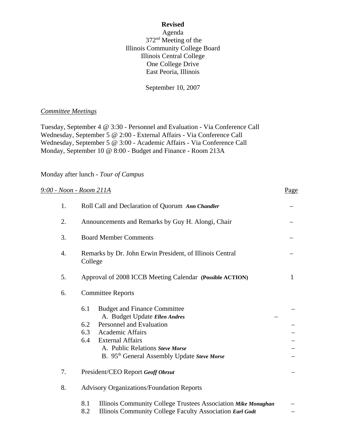#### **Revised**

Agenda 372nd Meeting of the Illinois Community College Board Illinois Central College One College Drive East Peoria, Illinois

September 10, 2007

## *Committee Meetings*

Tuesday, September 4 @ 3:30 - Personnel and Evaluation - Via Conference Call Wednesday, September 5 @ 2:00 - External Affairs - Via Conference Call Wednesday, September 5 @ 3:00 - Academic Affairs - Via Conference Call Monday, September 10 @ 8:00 - Budget and Finance - Room 213A

## Monday after lunch *- Tour of Campus*

|    | 9:00 - Noon - Room 211A                                                                    | Page |  |
|----|--------------------------------------------------------------------------------------------|------|--|
| 1. | Roll Call and Declaration of Quorum Ann Chandler                                           |      |  |
| 2. | Announcements and Remarks by Guy H. Alongi, Chair                                          |      |  |
| 3. | <b>Board Member Comments</b>                                                               |      |  |
| 4. | Remarks by Dr. John Erwin President, of Illinois Central<br>College                        |      |  |
| 5. | Approval of 2008 ICCB Meeting Calendar (Possible ACTION)                                   | 1    |  |
| 6. | <b>Committee Reports</b>                                                                   |      |  |
|    | 6.1<br><b>Budget and Finance Committee</b><br>A. Budget Update Ellen Andres                |      |  |
|    | Personnel and Evaluation<br>6.2                                                            |      |  |
|    | 6.3<br>Academic Affairs                                                                    |      |  |
|    | 6.4<br><b>External Affairs</b>                                                             |      |  |
|    | A. Public Relations Steve Morse<br>B. 95 <sup>th</sup> General Assembly Update Steve Morse |      |  |
| 7. | President/CEO Report Geoff Obrzut                                                          |      |  |
| 8. | <b>Advisory Organizations/Foundation Reports</b>                                           |      |  |
|    | 8.1<br>Illinois Community College Trustees Association Mike Monaghan                       |      |  |
|    | Illinois Community College Faculty Association Earl Godt<br>8.2                            |      |  |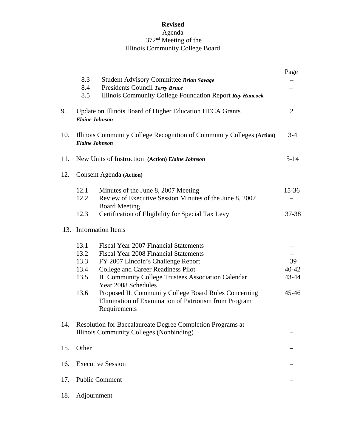# **Revised**

## Agenda 372nd Meeting of the Illinois Community College Board

|     | 8.3<br>Student Advisory Committee Brian Savage<br>Presidents Council Terry Bruce<br>8.4<br>8.5<br>Illinois Community College Foundation Report Ray Hancock                                                                                                                                                                                                                                                                      | Page                                  |
|-----|---------------------------------------------------------------------------------------------------------------------------------------------------------------------------------------------------------------------------------------------------------------------------------------------------------------------------------------------------------------------------------------------------------------------------------|---------------------------------------|
| 9.  | Update on Illinois Board of Higher Education HECA Grants<br><b>Elaine Johnson</b>                                                                                                                                                                                                                                                                                                                                               | $\overline{2}$                        |
| 10. | Illinois Community College Recognition of Community Colleges (Action)<br><b>Elaine Johnson</b>                                                                                                                                                                                                                                                                                                                                  | $3-4$                                 |
| 11. | New Units of Instruction (Action) Elaine Johnson                                                                                                                                                                                                                                                                                                                                                                                | $5 - 14$                              |
| 12. | Consent Agenda (Action)                                                                                                                                                                                                                                                                                                                                                                                                         |                                       |
|     | 12.1<br>Minutes of the June 8, 2007 Meeting<br>12.2<br>Review of Executive Session Minutes of the June 8, 2007<br><b>Board Meeting</b>                                                                                                                                                                                                                                                                                          | $15 - 36$                             |
|     | 12.3<br>Certification of Eligibility for Special Tax Levy                                                                                                                                                                                                                                                                                                                                                                       | 37-38                                 |
|     | 13. Information Items                                                                                                                                                                                                                                                                                                                                                                                                           |                                       |
|     | 13.1<br>Fiscal Year 2007 Financial Statements<br>13.2<br><b>Fiscal Year 2008 Financial Statements</b><br>13.3<br>FY 2007 Lincoln's Challenge Report<br>College and Career Readiness Pilot<br>13.4<br>13.5<br>IL Community College Trustees Association Calendar<br>Year 2008 Schedules<br>13.6<br>Proposed IL Community College Board Rules Concerning<br>Elimination of Examination of Patriotism from Program<br>Requirements | 39<br>$40 - 42$<br>43-44<br>$45 - 46$ |
| 14. | Resolution for Baccalaureate Degree Completion Programs at<br>Illinois Community Colleges (Nonbinding)                                                                                                                                                                                                                                                                                                                          |                                       |
| 15. | Other                                                                                                                                                                                                                                                                                                                                                                                                                           |                                       |
| 16. | <b>Executive Session</b>                                                                                                                                                                                                                                                                                                                                                                                                        |                                       |
| 17. | <b>Public Comment</b>                                                                                                                                                                                                                                                                                                                                                                                                           |                                       |
| 18. | Adjournment                                                                                                                                                                                                                                                                                                                                                                                                                     |                                       |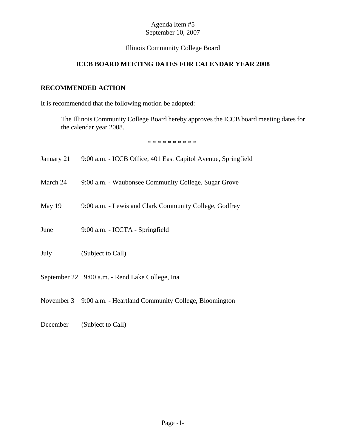## Illinois Community College Board

# **ICCB BOARD MEETING DATES FOR CALENDAR YEAR 2008**

# **RECOMMENDED ACTION**

It is recommended that the following motion be adopted:

The Illinois Community College Board hereby approves the ICCB board meeting dates for the calendar year 2008.

\* \* \* \* \* \* \* \* \* \*

| January 21 | 9:00 a.m. - ICCB Office, 401 East Capitol Avenue, Springfield   |
|------------|-----------------------------------------------------------------|
| March 24   | 9:00 a.m. - Waubonsee Community College, Sugar Grove            |
| May 19     | 9:00 a.m. - Lewis and Clark Community College, Godfrey          |
| June       | 9:00 a.m. - ICCTA - Springfield                                 |
| July       | (Subject to Call)                                               |
|            | September 22 9:00 a.m. - Rend Lake College, Ina                 |
|            | November 3 9:00 a.m. - Heartland Community College, Bloomington |

December (Subject to Call)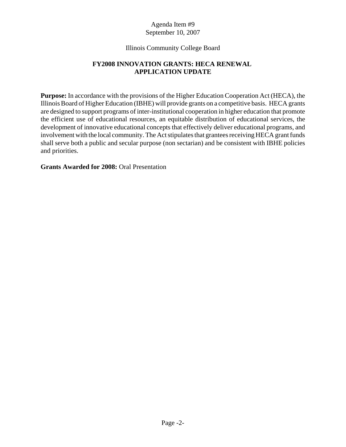## Illinois Community College Board

## **FY2008 INNOVATION GRANTS: HECA RENEWAL APPLICATION UPDATE**

**Purpose:** In accordance with the provisions of the Higher Education Cooperation Act (HECA), the Illinois Board of Higher Education (IBHE) will provide grants on a competitive basis. HECA grants are designed to support programs of inter-institutional cooperation in higher education that promote the efficient use of educational resources, an equitable distribution of educational services, the development of innovative educational concepts that effectively deliver educational programs, and involvement with the local community. The Act stipulates that grantees receiving HECA grant funds shall serve both a public and secular purpose (non sectarian) and be consistent with IBHE policies and priorities.

## **Grants Awarded for 2008:** Oral Presentation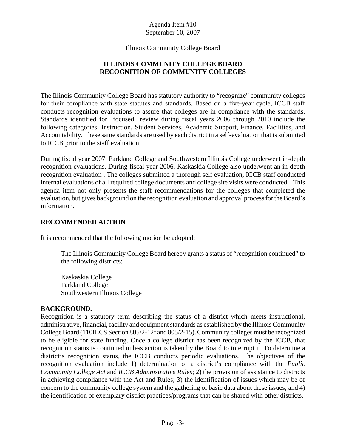Illinois Community College Board

# **ILLINOIS COMMUNITY COLLEGE BOARD RECOGNITION OF COMMUNITY COLLEGES**

 conducts recognition evaluations to assure that colleges are in compliance with the standards. Standards identified for focused review during fiscal years 2006 through 2010 include the following categories: Instruction, Student Services, Academic Support, Finance, Facilities, and Accountability. These same standards are used by each district in a self-evaluation that is submitted The Illinois Community College Board has statutory authority to "recognize" community colleges for their compliance with state statutes and standards. Based on a five-year cycle, ICCB staff to ICCB prior to the staff evaluation.

 During fiscal year 2007, Parkland College and Southwestern Illinois College underwent in-depth recognition evaluations. During fiscal year 2006, Kaskaskia College also underwent an in-depth recognition evaluation . The colleges submitted a thorough self evaluation, ICCB staff conducted internal evaluations of all required college documents and college site visits were conducted. This agenda item not only presents the staff recommendations for the colleges that completed the evaluation, but gives background on the recognition evaluation and approval process for the Board's information.

## **RECOMMENDED ACTION**

It is recommended that the following motion be adopted:

The Illinois Community College Board hereby grants a status of "recognition continued" to the following districts:

Kaskaskia College Parkland College Southwestern Illinois College

## **BACKGROUND.**

Recognition is a statutory term describing the status of a district which meets instructional, administrative, financial, facility and equipment standards as established by the Illinois Community College Board (110ILCS Section 805/2-12f and 805/2-15). Community colleges must be recognized to be eligible for state funding. Once a college district has been recognized by the ICCB, that recognition status is continued unless action is taken by the Board to interrupt it. To determine a district's recognition status, the ICCB conducts periodic evaluations. The objectives of the recognition evaluation include 1) determination of a district's compliance with the *Public Community College Act* and *ICCB Administrative Rules*; 2) the provision of assistance to districts in achieving compliance with the Act and Rules; 3) the identification of issues which may be of concern to the community college system and the gathering of basic data about these issues; and 4) the identification of exemplary district practices/programs that can be shared with other districts.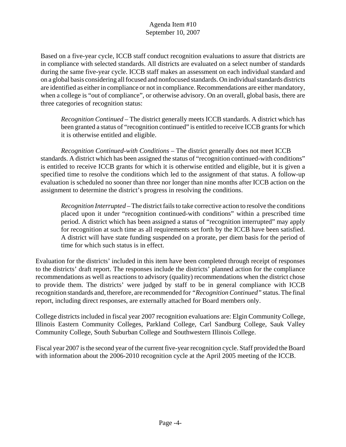Based on a five-year cycle, ICCB staff conduct recognition evaluations to assure that districts are in compliance with selected standards. All districts are evaluated on a select number of standards during the same five-year cycle. ICCB staff makes an assessment on each individual standard and on a global basis considering all focused and nonfocused standards. On individual standards districts are identified as either in compliance or not in compliance. Recommendations are either mandatory, when a college is "out of compliance", or otherwise advisory. On an overall, global basis, there are three categories of recognition status:

*Recognition Continued* – The district generally meets ICCB standards. A district which has been granted a status of "recognition continued" is entitled to receive ICCB grants for which it is otherwise entitled and eligible.

*Recognition Continued-with Conditions* – The district generally does not meet ICCB standards. A district which has been assigned the status of "recognition continued-with conditions" is entitled to receive ICCB grants for which it is otherwise entitled and eligible, but it is given a specified time to resolve the conditions which led to the assignment of that status. A follow-up evaluation is scheduled no sooner than three nor longer than nine months after ICCB action on the assignment to determine the district's progress in resolving the conditions.

*Recognition Interrupted* – The district fails to take corrective action to resolve the conditions placed upon it under "recognition continued-with conditions" within a prescribed time period. A district which has been assigned a status of "recognition interrupted" may apply for recognition at such time as all requirements set forth by the ICCB have been satisfied. A district will have state funding suspended on a prorate, per diem basis for the period of time for which such status is in effect.

Evaluation for the districts' included in this item have been completed through receipt of responses to the districts' draft report. The responses include the districts' planned action for the compliance recommendations as well as reactions to advisory (quality) recommendations when the district chose to provide them. The districts' were judged by staff to be in general compliance with ICCB recognition standards and, therefore, are recommended for *"Recognition Continued"* status. The final report, including direct responses, are externally attached for Board members only.

 College districts included in fiscal year 2007 recognition evaluations are: Elgin Community College, Illinois Eastern Community Colleges, Parkland College, Carl Sandburg College, Sauk Valley Community College, South Suburban College and Southwestern Illinois College.

 Fiscal year 2007 is the second year of the current five-year recognition cycle. Staff provided the Board with information about the 2006-2010 recognition cycle at the April 2005 meeting of the ICCB.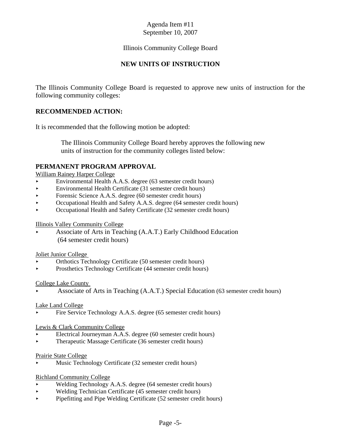## Illinois Community College Board

## **NEW UNITS OF INSTRUCTION**

The Illinois Community College Board is requested to approve new units of instruction for the following community colleges:

## **RECOMMENDED ACTION:**

It is recommended that the following motion be adopted:

 The Illinois Community College Board hereby approves the following new units of instruction for the community colleges listed below:

## **PERMANENT PROGRAM APPROVAL**

William Rainey Harper College

- < Environmental Health A.A.S. degree (63 semester credit hours)
- $\blacktriangleright$  Environmental Health Certificate (31 semester credit hours)
- Forensic Science A.A.S. degree (60 semester credit hours)
- < Occupational Health and Safety A.A.S. degree (64 semester credit hours)
- < Occupational Health and Safety Certificate (32 semester credit hours)

#### Illinois Valley Community College

< Associate of Arts in Teaching (A.A.T.) Early Childhood Education (64 semester credit hours)

#### Joliet Junior College

- < Orthotics Technology Certificate (50 semester credit hours)
- Prosthetics Technology Certificate (44 semester credit hours)

#### College Lake County

< Associate of Arts in Teaching (A.A.T.) Special Education (63 semester credit hours)

#### Lake Land College

Fire Service Technology A.A.S. degree (65 semester credit hours)

#### Lewis & Clark Community College

- < Electrical Journeyman A.A.S. degree (60 semester credit hours)
- < Therapeutic Massage Certificate (36 semester credit hours)

#### Prairie State College

< Music Technology Certificate (32 semester credit hours)

#### Richland Community College

- < Welding Technology A.A.S. degree (64 semester credit hours)
- < Welding Technician Certificate (45 semester credit hours)
- < Pipefitting and Pipe Welding Certificate (52 semester credit hours)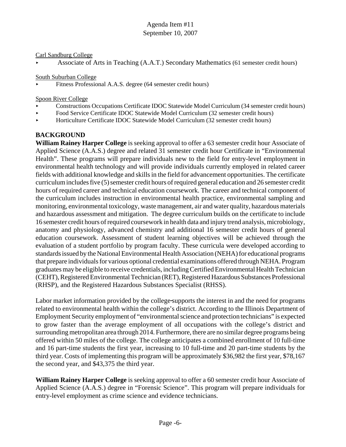#### Carl Sandburg College

< Associate of Arts in Teaching (A.A.T.) Secondary Mathematics (61 semester credit hours)

South Suburban College

< Fitness Professional A.A.S. degree (64 semester credit hours)

Spoon River College

- < Constructions Occupations Certificate IDOC Statewide Model Curriculum (34 semester credit hours)
- < Food Service Certificate IDOC Statewide Model Curriculum (32 semester credit hours)
- < Horticulture Certificate IDOC Statewide Model Curriculum (32 semester credit hours)

## **BACKGROUND**

**William Rainey Harper College** is seeking approval to offer a 63 semester credit hour Associate of Applied Science (A.A.S.) degree and related 31 semester credit hour Certificate in "Environmental Health". These programs will prepare individuals new to the field for entry-level employment in environmental health technology and will provide individuals currently employed in related career fields with additional knowledge and skills in the field for advancement opportunities. The certificate curriculum includes five (5) semester credit hours of required general education and 26 semester credit hours of required career and technical education coursework. The career and technical component of the curriculum includes instruction in environmental health practice, environmental sampling and monitoring, environmental toxicology, waste management, air and water quality, hazardous materials and hazardous assessment and mitigation. The degree curriculum builds on the certificate to include 16 semester credit hours of required coursework in health data and injury trend analysis, microbiology, anatomy and physiology, advanced chemistry and additional 16 semester credit hours of general education coursework. Assessment of student learning objectives will be achieved through the evaluation of a student portfolio by program faculty. These curricula were developed according to standards issued by the National Environmental Health Association (NEHA) for educational programs that prepare individuals for various optional credential examinations offered through NEHA. Program graduates may be eligible to receive credentials, including Certified Environmental Health Technician (CEHT), Registered Environmental Technician (RET), Registered Hazardous Substances Professional (RHSP), and the Registered Hazardous Substances Specialist (RHSS).

Labor market information provided by the college supports the interest in and the need for programs related to environmental health within the college's district. According to the Illinois Department of Employment Security employment of "environmental science and protection technicians" is expected to grow faster than the average employment of all occupations with the college's district and surrounding metropolitan area through 2014. Furthermore, there are no similar degree programs being offered within 50 miles of the college. The college anticipates a combined enrollment of 10 full-time and 16 part-time students the first year, increasing to 10 full-time and 20 part-time students by the third year. Costs of implementing this program will be approximately \$36,982 the first year, \$78,167 the second year, and \$43,375 the third year.

**William Rainey Harper College** is seeking approval to offer a 60 semester credit hour Associate of Applied Science (A.A.S.) degree in "Forensic Science". This program will prepare individuals for entry-level employment as crime science and evidence technicians.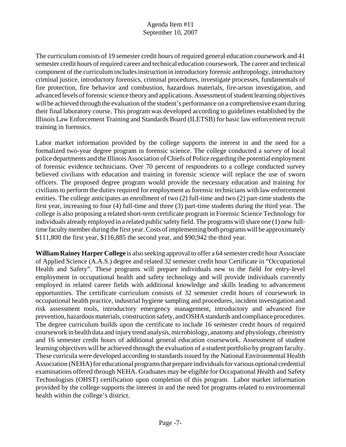The curriculum consists of 19 semester credit hours of required general education coursework and 41 semester credit hours of required career and technical education coursework. The career and technical component of the curriculum includes instruction in introductory forensic anthropology, introductory criminal justice, introductory forensics, criminal procedures, investigate processes, fundamentals of fire protection, fire behavior and combustion, hazardous materials, fire-arson investigation, and advanced levels of forensic science theory and applications. Assessment of student learning objectives will be achieved through the evaluation of the student's performance on a comprehensive exam during their final laboratory course. This program was developed according to guidelines established by the Illinois Law Enforcement Training and Standards Board (ILETSB) for basic law enforcement recruit training in forensics.

 of forensic evidence technicians. Over 70 percent of respondents to a college conducted survey Labor market information provided by the college supports the interest in and the need for a formalized two-year degree program in forensic science. The college conducted a survey of local police departments and the Illinois Association of Chiefs of Police regarding the potential employment believed civilians with education and training in forensic science will replace the use of sworn officers. The proposed degree program would provide the necessary education and training for civilians to perform the duties required for employment as forensic technicians with law enforcement entities. The college anticipates an enrollment of two (2) full-time and two (2) part-time students the first year, increasing to four (4) full-time and three (3) part-time students during the third year. The college is also proposing a related short-term certificate program in Forensic Science Technology for individuals already employed in a related public safety field. The programs will share one (1) new fulltime faculty member during the first year. Costs of implementing both programs will be approximately \$111,800 the first year, \$116,885 the second year, and \$90,942 the third year.

**William Rainey Harper College** is also seeking approval to offer a 64 semester credit hour Associate of Applied Science (A.A.S.) degree and related 32 semester credit hour Certificate in "Occupational Health and Safety". These programs will prepare individuals new to the field for entry-level employment in occupational health and safety technology and will provide individuals currently employed in related career fields with additional knowledge and skills leading to advancement opportunities. The certificate curriculum consists of 32 semester credit hours of coursework in occupational health practice, industrial hygiene sampling and procedures, incident investigation and risk assessment tools, introductory emergency management, introductory and advanced fire prevention, hazardous materials, construction safety, and OSHA standards and compliance procedures. The degree curriculum builds upon the certificate to include 16 semester credit hours of required coursework in health data and injury trend analysis, microbiology, anatomy and physiology, chemistry and 16 semester credit hours of additional general education coursework. Assessment of student learning objectives will be achieved through the evaluation of a student portfolio by program faculty. These curricula were developed according to standards issued by the National Environmental Health Association (NEHA) for educational programs that prepare individuals for various optional credential examinations offered through NEHA. Graduates may be eligible for Occupational Health and Safety Technologists (OHST) certification upon completion of this program. Labor market information provided by the college supports the interest in and the need for programs related to environmental health within the college's district.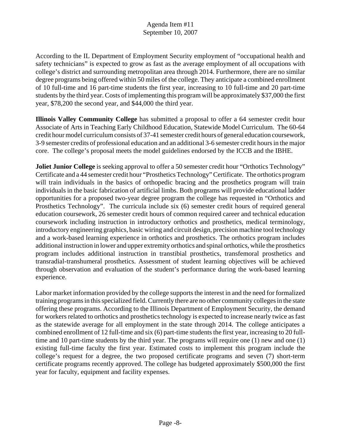According to the IL Department of Employment Security employment of "occupational health and safety technicians" is expected to grow as fast as the average employment of all occupations with college's district and surrounding metropolitan area through 2014. Furthermore, there are no similar degree programs being offered within 50 miles of the college. They anticipate a combined enrollment of 10 full-time and 16 part-time students the first year, increasing to 10 full-time and 20 part-time students by the third year. Costs of implementing this program will be approximately \$37,000 the first year, \$78,200 the second year, and \$44,000 the third year.

**Illinois Valley Community College** has submitted a proposal to offer a 64 semester credit hour Associate of Arts in Teaching Early Childhood Education, Statewide Model Curriculum. The 60-64 credit hour model curriculum consists of 37-41 semester credit hours of general education coursework, 3-9 semester credits of professional education and an additional 3-6 semester credit hours in the major core. The college's proposal meets the model guidelines endorsed by the ICCB and the IBHE.

**Joliet Junior College** is seeking approval to offer a 50 semester credit hour "Orthotics Technology" Certificate and a 44 semester credit hour "Prosthetics Technology" Certificate. The orthotics program will train individuals in the basics of orthopedic bracing and the prosthetics program will train individuals in the basic fabrication of artificial limbs. Both programs will provide educational ladder opportunities for a proposed two-year degree program the college has requested in "Orthotics and Prosthetics Technology". The curricula include six (6) semester credit hours of required general education coursework, 26 semester credit hours of common required career and technical education coursework including instruction in introductory orthotics and prosthetics, medical terminology, introductory engineering graphics, basic wiring and circuit design, precision machine tool technology and a work-based learning experience in orthotics and prosthetics. The orthotics program includes additional instruction in lower and upper extremity orthotics and spinal orthotics, while the prosthetics program includes additional instruction in transtibial prosthetics, transfemoral prosthetics and transradial-transhumeral prosthetics. Assessment of student learning objectives will be achieved through observation and evaluation of the student's performance during the work-based learning experience.

Labor market information provided by the college supports the interest in and the need for formalized training programs in this specialized field. Currently there are no other community colleges in the state offering these programs. According to the Illinois Department of Employment Security, the demand for workers related to orthotics and prosthetics technology is expected to increase nearly twice as fast as the statewide average for all employment in the state through 2014. The college anticipates a combined enrollment of 12 full-time and six (6) part-time students the first year, increasing to 20 fulltime and 10 part-time students by the third year. The programs will require one (1) new and one (1) existing full-time faculty the first year. Estimated costs to implement this program include the college's request for a degree, the two proposed certificate programs and seven (7) short-term certificate programs recently approved. The college has budgeted approximately \$500,000 the first year for faculty, equipment and facility expenses.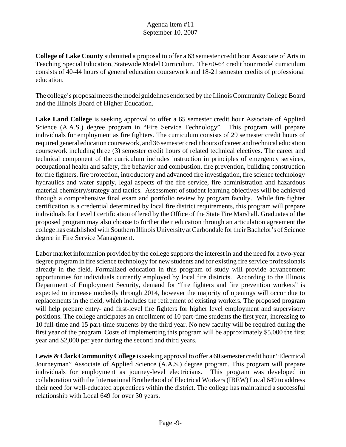**College of Lake County** submitted a proposal to offer a 63 semester credit hour Associate of Arts in Teaching Special Education, Statewide Model Curriculum. The 60-64 credit hour model curriculum consists of 40-44 hours of general education coursework and 18-21 semester credits of professional education.

The college's proposal meets the model guidelines endorsed by the Illinois Community College Board and the Illinois Board of Higher Education.

**Lake Land College** is seeking approval to offer a 65 semester credit hour Associate of Applied Science (A.A.S.) degree program in "Fire Service Technology". This program will prepare individuals for employment as fire fighters. The curriculum consists of 29 semester credit hours of required general education coursework, and 36 semester credit hours of career and technical education coursework including three (3) semester credit hours of related technical electives. The career and technical component of the curriculum includes instruction in principles of emergency services, occupational health and safety, fire behavior and combustion, fire prevention, building construction for fire fighters, fire protection, introductory and advanced fire investigation, fire science technology hydraulics and water supply, legal aspects of the fire service, fire administration and hazardous material chemistry/strategy and tactics. Assessment of student learning objectives will be achieved through a comprehensive final exam and portfolio review by program faculty. While fire fighter certification is a credential determined by local fire district requirements, this program will prepare individuals for Level I certification offered by the Office of the State Fire Marshall. Graduates of the proposed program may also choose to further their education through an articulation agreement the college has established with Southern Illinois University at Carbondale for their Bachelor's of Science degree in Fire Service Management.

Labor market information provided by the college supports the interest in and the need for a two-year degree program in fire science technology for new students and for existing fire service professionals already in the field. Formalized education in this program of study will provide advancement opportunities for individuals currently employed by local fire districts. According to the Illinois Department of Employment Security, demand for "fire fighters and fire prevention workers" is expected to increase modestly through 2014, however the majority of openings will occur due to replacements in the field, which includes the retirement of existing workers. The proposed program will help prepare entry- and first-level fire fighters for higher level employment and supervisory positions. The college anticipates an enrollment of 10 part-time students the first year, increasing to 10 full-time and 15 part-time students by the third year. No new faculty will be required during the first year of the program. Costs of implementing this program will be approximately \$5,000 the first year and \$2,000 per year during the second and third years.

**Lewis & Clark Community College** is seeking approval to offer a 60 semester credit hour "Electrical Journeyman" Associate of Applied Science (A.A.S.) degree program. This program will prepare individuals for employment as journey-level electricians. This program was developed in collaboration with the International Brotherhood of Electrical Workers (IBEW) Local 649 to address their need for well-educated apprentices within the district. The college has maintained a successful relationship with Local 649 for over 30 years.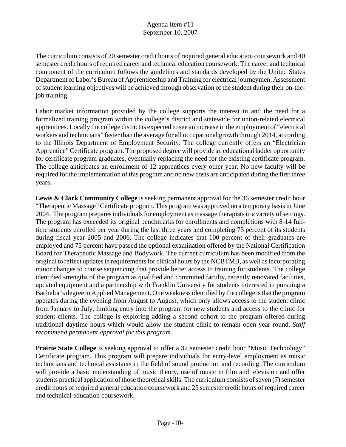The curriculum consists of 20 semester credit hours of required general education coursework and 40 semester credit hours of required career and technical education coursework. The career and technical component of the curriculum follows the guidelines and standards developed by the United States Department of Labor's Bureau of Apprenticeship and Training for electrical journeymen. Assessment of student learning objectives will be achieved through observation of the student during their on-thejob training.

Labor market information provided by the college supports the interest in and the need for a formalized training program within the college's district and statewide for union-related electrical apprentices. Locally the college district is expected to see an increase in the employment of "electrical workers and technicians" faster than the average for all occupational growth through 2014, according to the Illinois Department of Employment Security. The college currently offers an "Electrician Apprentice" Certificate program. The proposed degree will provide an educational ladder opportunity for certificate program graduates, eventually replacing the need for the existing certificate program. The college anticipates an enrollment of 12 apprentices every other year. No new faculty will be required for the implementation of this program and no new costs are anticipated during the first three years.

**Lewis & Clark Community College** is seeking permanent approval for the 36 semester credit hour "Therapeutic Massage" Certificate program. This program was approved on a temporary basis in June 2004. The program prepares individuals for employment as massage therapists in a variety of settings. The program has exceeded its original benchmarks for enrollments and completions with 8-14 fulltime students enrolled per year during the last three years and completing 75 percent of its students during fiscal year 2005 and 2006. The college indicates that 100 percent of their graduates are employed and 75 percent have passed the optional examination offered by the National Certification Board for Therapeutic Massage and Bodywork. The current curriculum has been modified from the original to reflect updates in requirements for clinical hours by the NCBTMB, as well as incorporating minor changes to course sequencing that provide better access to training for students. The college identified strengths of the program as qualified and committed faculty, recently renovated facilities, updated equipment and a partnership with Franklin University for students interested in pursuing a Bachelor's degree in Applied Management. One weakness identified by the college is that the program operates during the evening from August to August, which only allows access to the student clinic from January to July, limiting entry into the program for new students and access to the clinic for student clients. The college is exploring adding a second cohort to the program offered during traditional daytime hours which would allow the student clinic to remain open year round. *Staff recommend permanent approval for this program.* 

**Prairie State College** is seeking approval to offer a 32 semester credit hour "Music Technology" Certificate program. This program will prepare individuals for entry-level employment as music technicians and technical assistants in the field of sound production and recording. The curriculum will provide a basic understanding of music theory, use of music in film and television and offer students practical application of those theoretical skills. The curriculum consists of seven (7) semester credit hours of required general education coursework and 25 semester credit hours of required career and technical education coursework.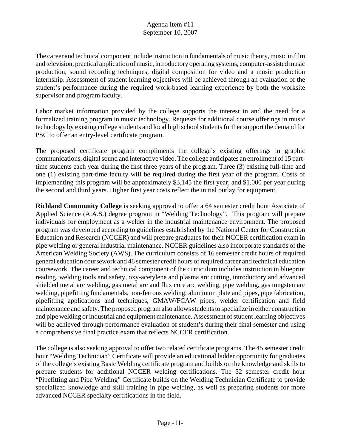The career and technical component include instruction in fundamentals of music theory, music in film and television, practical application of music, introductory operating systems, computer-assisted music production, sound recording techniques, digital composition for video and a music production internship. Assessment of student learning objectives will be achieved through an evaluation of the student's performance during the required work-based learning experience by both the worksite supervisor and program faculty.

Labor market information provided by the college supports the interest in and the need for a formalized training program in music technology. Requests for additional course offerings in music technology by existing college students and local high school students further support the demand for PSC to offer an entry-level certificate program.

The proposed certificate program compliments the college's existing offerings in graphic communications, digital sound and interactive video. The college anticipates an enrollment of 15 parttime students each year during the first three years of the program. Three (3) existing full-time and one (1) existing part-time faculty will be required during the first year of the program. Costs of implementing this program will be approximately \$3,145 the first year, and \$1,000 per year during the second and third years. Higher first year costs reflect the initial outlay for equipment.

**Richland Community College** is seeking approval to offer a 64 semester credit hour Associate of Applied Science (A.A.S.) degree program in "Welding Technology". This program will prepare individuals for employment as a welder in the industrial maintenance environment. The proposed program was developed according to guidelines established by the National Center for Construction Education and Research (NCCER) and will prepare graduates for their NCCER certification exam in pipe welding or general industrial maintenance. NCCER guidelines also incorporate standards of the American Welding Society (AWS). The curriculum consists of 16 semester credit hours of required general education coursework and 48 semester credit hours of required career and technical education coursework. The career and technical component of the curriculum includes instruction in blueprint reading, welding tools and safety, oxy-acetylene and plasma arc cutting, introductory and advanced shielded metal arc welding, gas metal arc and flux core arc welding, pipe welding, gas tungsten arc welding, pipefitting fundamentals, non-ferrous welding, aluminum plate and pipes, pipe fabrication, pipefitting applications and techniques, GMAW/FCAW pipes, welder certification and field maintenance and safety. The proposed program also allows students to specialize in either construction and pipe welding or industrial and equipment maintenance. Assessment of student learning objectives will be achieved through performance evaluation of student's during their final semester and using a comprehensive final practice exam that reflects NCCER certification.

The college is also seeking approval to offer two related certificate programs. The 45 semester credit hour "Welding Technician" Certificate will provide an educational ladder opportunity for graduates of the college's existing Basic Welding certificate program and builds on the knowledge and skills to prepare students for additional NCCER welding certifications. The 52 semester credit hour "Pipefitting and Pipe Welding" Certificate builds on the Welding Technician Certificate to provide specialized knowledge and skill training in pipe welding, as well as preparing students for more advanced NCCER specialty certifications in the field.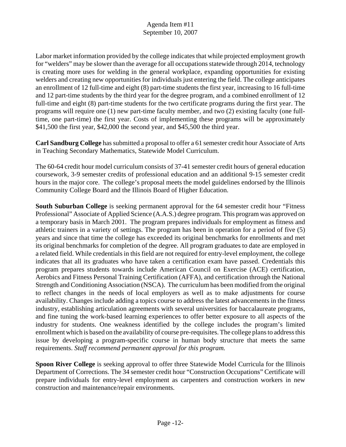Labor market information provided by the college indicates that while projected employment growth for "welders" may be slower than the average for all occupations statewide through 2014, technology is creating more uses for welding in the general workplace, expanding opportunities for existing welders and creating new opportunities for individuals just entering the field. The college anticipates an enrollment of 12 full-time and eight (8) part-time students the first year, increasing to 16 full-time and 12 part-time students by the third year for the degree program, and a combined enrollment of 12 full-time and eight (8) part-time students for the two certificate programs during the first year. The programs will require one (1) new part-time faculty member, and two (2) existing faculty (one fulltime, one part-time) the first year. Costs of implementing these programs will be approximately \$41,500 the first year, \$42,000 the second year, and \$45,500 the third year.

**Carl Sandburg College** has submitted a proposal to offer a 61 semester credit hour Associate of Arts in Teaching Secondary Mathematics, Statewide Model Curriculum.

The 60-64 credit hour model curriculum consists of 37-41 semester credit hours of general education coursework, 3-9 semester credits of professional education and an additional 9-15 semester credit hours in the major core. The college's proposal meets the model guidelines endorsed by the Illinois Community College Board and the Illinois Board of Higher Education.

**South Suburban College** is seeking permanent approval for the 64 semester credit hour "Fitness Professional" Associate of Applied Science (A.A.S.) degree program. This program was approved on a temporary basis in March 2001. The program prepares individuals for employment as fitness and athletic trainers in a variety of settings. The program has been in operation for a period of five (5) years and since that time the college has exceeded its original benchmarks for enrollments and met its original benchmarks for completion of the degree. All program graduates to date are employed in a related field. While credentials in this field are not required for entry-level employment, the college indicates that all its graduates who have taken a certification exam have passed. Credentials this program prepares students towards include American Council on Exercise (ACE) certification, Aerobics and Fitness Personal Training Certification (AFFA), and certification through the National Strength and Conditioning Association (NSCA). The curriculum has been modified from the original to reflect changes in the needs of local employers as well as to make adjustments for course availability. Changes include adding a topics course to address the latest advancements in the fitness industry, establishing articulation agreements with several universities for baccalaureate programs, and fine tuning the work-based learning experiences to offer better exposure to all aspects of the industry for students. One weakness identified by the college includes the program's limited enrollment which is based on the availability of course pre-requisites. The college plans to address this issue by developing a program-specific course in human body structure that meets the same requirements. *Staff recommend permanent approval for this program.* 

**Spoon River College** is seeking approval to offer three Statewide Model Curricula for the Illinois Department of Corrections. The 34 semester credit hour "Construction Occupations" Certificate will prepare individuals for entry-level employment as carpenters and construction workers in new construction and maintenance/repair environments.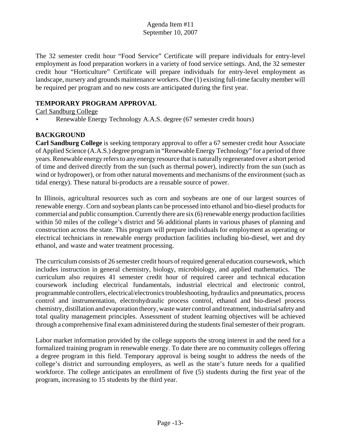The 32 semester credit hour "Food Service" Certificate will prepare individuals for entry-level employment as food preparation workers in a variety of food service settings. And, the 32 semester credit hour "Horticulture" Certificate will prepare individuals for entry-level employment as landscape, nursery and grounds maintenance workers. One (1) existing full-time faculty member will be required per program and no new costs are anticipated during the first year.

## **TEMPORARY PROGRAM APPROVAL**

Carl Sandburg College

< Renewable Energy Technology A.A.S. degree (67 semester credit hours)

# **BACKGROUND**

**Carl Sandburg College** is seeking temporary approval to offer a 67 semester credit hour Associate of Applied Science (A.A.S.) degree program in "Renewable Energy Technology" for a period of three years. Renewable energy refers to any energy resource that is naturally regenerated over a short period of time and derived directly from the sun (such as thermal power), indirectly from the sun (such as wind or hydropower), or from other natural movements and mechanisms of the environment (such as tidal energy). These natural bi-products are a reusable source of power.

In Illinois, agricultural resources such as corn and soybeans are one of our largest sources of renewable energy. Corn and soybean plants can be processed into ethanol and bio-diesel products for commercial and public consumption. Currently there are six (6) renewable energy production facilities within 50 miles of the college's district and 56 additional plants in various phases of planning and construction across the state. This program will prepare individuals for employment as operating or electrical technicians in renewable energy production facilities including bio-diesel, wet and dry ethanol, and waste and water treatment processing.

The curriculum consists of 26 semester credit hours of required general education coursework, which includes instruction in general chemistry, biology, microbiology, and applied mathematics. The curriculum also requires 41 semester credit hour of required career and technical education coursework including electrical fundamentals, industrial electrical and electronic control, programmable controllers, electrical/electronics troubleshooting, hydraulics and pneumatics, process control and instrumentation, electrohydraulic process control, ethanol and bio-diesel process chemistry, distillation and evaporation theory, waste water control and treatment, industrial safety and total quality management principles. Assessment of student learning objectives will be achieved through a comprehensive final exam administered during the students final semester of their program.

Labor market information provided by the college supports the strong interest in and the need for a formalized training program in renewable energy. To date there are no community colleges offering a degree program in this field. Temporary approval is being sought to address the needs of the college's district and surrounding employers, as well as the state's future needs for a qualified workforce. The college anticipates an enrollment of five (5) students during the first year of the program, increasing to 15 students by the third year.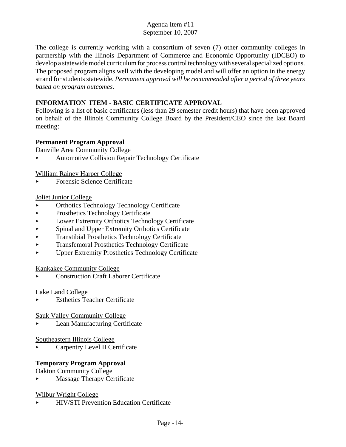The college is currently working with a consortium of seven (7) other community colleges in partnership with the Illinois Department of Commerce and Economic Opportunity (IDCEO) to develop a statewide model curriculum for process control technology with several specialized options. The proposed program aligns well with the developing model and will offer an option in the energy strand for students statewide. *Permanent approval will be recommended after a period of three years based on program outcomes.* 

## **INFORMATION ITEM - BASIC CERTIFICATE APPROVAL**

Following is a list of basic certificates (less than 29 semester credit hours) that have been approved on behalf of the Illinois Community College Board by the President/CEO since the last Board meeting:

## **Permanent Program Approval**

Danville Area Community College

< Automotive Collision Repair Technology Certificate

William Rainey Harper College

< Forensic Science Certificate

## Joliet Junior College

- < Orthotics Technology Technology Certificate
- Prosthetics Technology Certificate
- Lower Extremity Orthotics Technology Certificate
- < Spinal and Upper Extremity Orthotics Certificate
- < Transtibial Prosthetics Technology Certificate
- < Transfemoral Prosthetics Technology Certificate
- < Upper Extremity Prosthetics Technology Certificate

#### Kankakee Community College

< Construction Craft Laborer Certificate

#### Lake Land College

Esthetics Teacher Certificate

Sauk Valley Community College

Lean Manufacturing Certificate

Southeastern Illinois College

**Example 1** Carpentry Level II Certificate

## **Temporary Program Approval**

Oakton Community College

**Massage Therapy Certificate** 

#### Wilbur Wright College

< HIV/STI Prevention Education Certificate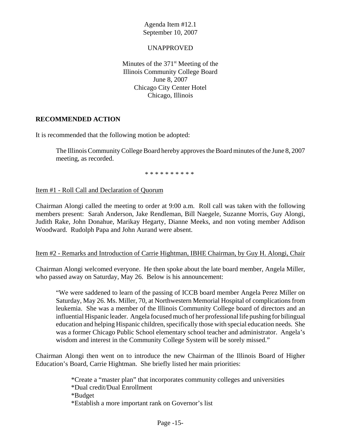## UNAPPROVED

Minutes of the  $371<sup>st</sup>$  Meeting of the Illinois Community College Board June 8, 2007 Chicago City Center Hotel Chicago, Illinois

## **RECOMMENDED ACTION**

It is recommended that the following motion be adopted:

The Illinois Community College Board hereby approves the Board minutes of the June 8, 2007 meeting, as recorded.

\* \* \* \* \* \* \* \* \* \*

## Item #1 - Roll Call and Declaration of Quorum

Chairman Alongi called the meeting to order at 9:00 a.m. Roll call was taken with the following members present: Sarah Anderson, Jake Rendleman, Bill Naegele, Suzanne Morris, Guy Alongi, Judith Rake, John Donahue, Marikay Hegarty, Dianne Meeks, and non voting member Addison Woodward. Rudolph Papa and John Aurand were absent.

## Item #2 - Remarks and Introduction of Carrie Hightman, IBHE Chairman, by Guy H. Alongi, Chair

Chairman Alongi welcomed everyone. He then spoke about the late board member, Angela Miller, who passed away on Saturday, May 26. Below is his announcement:

"We were saddened to learn of the passing of ICCB board member Angela Perez Miller on Saturday, May 26. Ms. Miller, 70, at Northwestern Memorial Hospital of complications from leukemia. She was a member of the Illinois Community College board of directors and an influential Hispanic leader. Angela focused much of her professional life pushing for bilingual education and helping Hispanic children, specifically those with special education needs. She was a former Chicago Public School elementary school teacher and administrator. Angela's wisdom and interest in the Community College System will be sorely missed."

Chairman Alongi then went on to introduce the new Chairman of the Illinois Board of Higher Education's Board, Carrie Hightman. She briefly listed her main priorities:

> \*Create a "master plan" that incorporates community colleges and universities \*Dual credit/Dual Enrollment \*Budget \*Establish a more important rank on Governor's list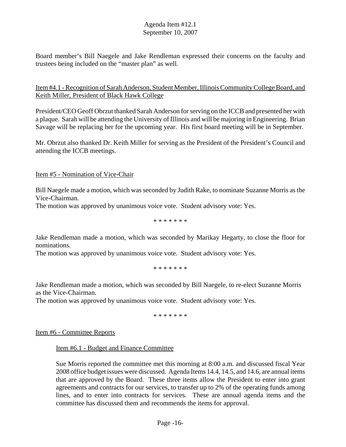Board member's Bill Naegele and Jake Rendleman expressed their concerns on the faculty and trustees being included on the "master plan" as well.

## Item #4.1 - Recognition of Sarah Anderson, Student Member, Illinois Community College Board, and Keith Miller, President of Black Hawk College

President/CEO Geoff Obrzut thanked Sarah Anderson for serving on the ICCB and presented her with a plaque. Sarah will be attending the University of Illinois and will be majoring in Engineering. Brian Savage will be replacing her for the upcoming year. His first board meeting will be in September.

Mr. Obrzut also thanked Dr. Keith Miller for serving as the President of the President's Council and attending the ICCB meetings.

Item #5 - Nomination of Vice-Chair

Bill Naegele made a motion, which was seconded by Judith Rake, to nominate Suzanne Morris as the Vice-Chairman.

The motion was approved by unanimous voice vote. Student advisory vote: Yes.

\* \* \* \* \* \* \*

Jake Rendleman made a motion, which was seconded by Marikay Hegarty, to close the floor for nominations.

The motion was approved by unanimous voice vote. Student advisory vote: Yes.

\* \* \* \* \* \* \*

Jake Rendleman made a motion, which was seconded by Bill Naegele, to re-elect Suzanne Morris as the Vice-Chairman.

The motion was approved by unanimous voice vote. Student advisory vote: Yes.

\* \* \* \* \* \* \*

Item #6 - Committee Reports

Item #6.1 - Budget and Finance Committee

Sue Morris reported the committee met this morning at 8:00 a.m. and discussed fiscal Year 2008 office budget issues were discussed. Agenda Items 14.4, 14.5, and 14.6, are annual items that are approved by the Board. These three items allow the President to enter into grant agreements and contracts for our services, to transfer up to 2% of the operating funds among lines, and to enter into contracts for services. These are annual agenda items and the committee has discussed them and recommends the items for approval.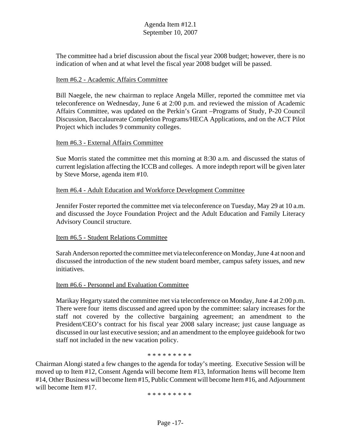The committee had a brief discussion about the fiscal year 2008 budget; however, there is no indication of when and at what level the fiscal year 2008 budget will be passed.

#### Item #6.2 - Academic Affairs Committee

Bill Naegele, the new chairman to replace Angela Miller, reported the committee met via teleconference on Wednesday, June 6 at 2:00 p.m. and reviewed the mission of Academic Affairs Committee, was updated on the Perkin's Grant –Programs of Study, P-20 Council Discussion, Baccalaureate Completion Programs/HECA Applications, and on the ACT Pilot Project which includes 9 community colleges.

#### Item #6.3 - External Affairs Committee

Sue Morris stated the committee met this morning at 8:30 a.m. and discussed the status of current legislation affecting the ICCB and colleges. A more indepth report will be given later by Steve Morse, agenda item #10.

#### Item #6.4 - Adult Education and Workforce Development Committee

Jennifer Foster reported the committee met via teleconference on Tuesday, May 29 at 10 a.m. and discussed the Joyce Foundation Project and the Adult Education and Family Literacy Advisory Council structure.

#### Item #6.5 - Student Relations Committee

Sarah Anderson reported the committee met via teleconference on Monday, June 4 at noon and discussed the introduction of the new student board member, campus safety issues, and new initiatives.

#### Item #6.6 - Personnel and Evaluation Committee

Marikay Hegarty stated the committee met via teleconference on Monday, June 4 at 2:00 p.m. There were four items discussed and agreed upon by the committee: salary increases for the staff not covered by the collective bargaining agreement; an amendment to the President/CEO's contract for his fiscal year 2008 salary increase; just cause language as discussed in our last executive session; and an amendment to the employee guidebook for two staff not included in the new vacation policy.

\* \* \* \* \* \* \* \* \*

Chairman Alongi stated a few changes to the agenda for today's meeting. Executive Session will be moved up to Item #12, Consent Agenda will become Item #13, Information Items will become Item #14, Other Business will become Item #15, Public Comment will become Item #16, and Adjournment will become Item #17.

\* \* \* \* \* \* \* \* \*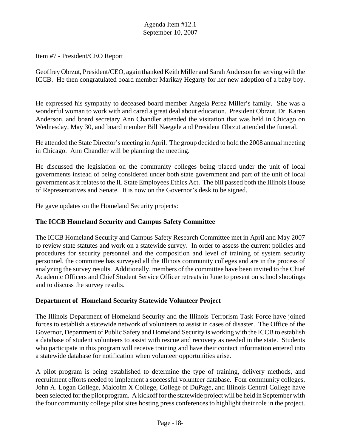#### Item #7 - President/CEO Report

Geoffrey Obrzut, President/CEO, again thanked Keith Miller and Sarah Anderson for serving with the ICCB. He then congratulated board member Marikay Hegarty for her new adoption of a baby boy.

He expressed his sympathy to deceased board member Angela Perez Miller's family. She was a wonderful woman to work with and cared a great deal about education. President Obrzut, Dr. Karen Anderson, and board secretary Ann Chandler attended the visitation that was held in Chicago on Wednesday, May 30, and board member Bill Naegele and President Obrzut attended the funeral.

He attended the State Director's meeting in April. The group decided to hold the 2008 annual meeting in Chicago. Ann Chandler will be planning the meeting.

He discussed the legislation on the community colleges being placed under the unit of local governments instead of being considered under both state government and part of the unit of local government as it relates to the IL State Employees Ethics Act. The bill passed both the Illinois House of Representatives and Senate. It is now on the Governor's desk to be signed.

He gave updates on the Homeland Security projects:

#### **The ICCB Homeland Security and Campus Safety Committee**

The ICCB Homeland Security and Campus Safety Research Committee met in April and May 2007 to review state statutes and work on a statewide survey. In order to assess the current policies and procedures for security personnel and the composition and level of training of system security personnel, the committee has surveyed all the Illinois community colleges and are in the process of analyzing the survey results. Additionally, members of the committee have been invited to the Chief Academic Officers and Chief Student Service Officer retreats in June to present on school shootings and to discuss the survey results.

#### **Department of Homeland Security Statewide Volunteer Project**

The Illinois Department of Homeland Security and the Illinois Terrorism Task Force have joined forces to establish a statewide network of volunteers to assist in cases of disaster. The Office of the Governor, Department of Public Safety and Homeland Security is working with the ICCB to establish a database of student volunteers to assist with rescue and recovery as needed in the state. Students who participate in this program will receive training and have their contact information entered into a statewide database for notification when volunteer opportunities arise.

A pilot program is being established to determine the type of training, delivery methods, and recruitment efforts needed to implement a successful volunteer database. Four community colleges, John A. Logan College, Malcolm X College, College of DuPage, and Illinois Central College have been selected for the pilot program. A kickoff for the statewide project will be held in September with the four community college pilot sites hosting press conferences to highlight their role in the project.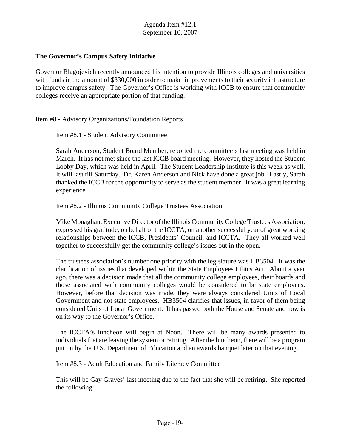## **The Governor's Campus Safety Initiative**

Governor Blagojevich recently announced his intention to provide Illinois colleges and universities with funds in the amount of \$330,000 in order to make improvements to their security infrastructure to improve campus safety. The Governor's Office is working with ICCB to ensure that community colleges receive an appropriate portion of that funding.

## Item #8 - Advisory Organizations/Foundation Reports

## Item #8.1 - Student Advisory Committee

Sarah Anderson, Student Board Member, reported the committee's last meeting was held in March. It has not met since the last ICCB board meeting. However, they hosted the Student Lobby Day, which was held in April. The Student Leadership Institute is this week as well. It will last till Saturday. Dr. Karen Anderson and Nick have done a great job. Lastly, Sarah thanked the ICCB for the opportunity to serve as the student member. It was a great learning experience.

#### Item #8.2 - Illinois Community College Trustees Association

Mike Monaghan, Executive Director of the Illinois Community College Trustees Association, expressed his gratitude, on behalf of the ICCTA, on another successful year of great working relationships between the ICCB, Presidents' Council, and ICCTA. They all worked well together to successfully get the community college's issues out in the open.

The trustees association's number one priority with the legislature was HB3504. It was the clarification of issues that developed within the State Employees Ethics Act. About a year ago, there was a decision made that all the community college employees, their boards and those associated with community colleges would be considered to be state employees. However, before that decision was made, they were always considered Units of Local Government and not state employees. HB3504 clarifies that issues, in favor of them being considered Units of Local Government. It has passed both the House and Senate and now is on its way to the Governor's Office.

The ICCTA's luncheon will begin at Noon. There will be many awards presented to individuals that are leaving the system or retiring. After the luncheon, there will be a program put on by the U.S. Department of Education and an awards banquet later on that evening.

#### Item #8.3 - Adult Education and Family Literacy Committee

This will be Gay Graves' last meeting due to the fact that she will be retiring. She reported the following: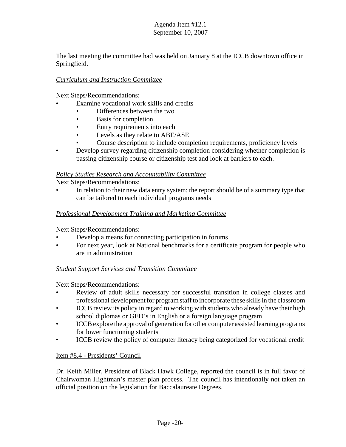The last meeting the committee had was held on January 8 at the ICCB downtown office in Springfield.

## *Curriculum and Instruction Committee*

Next Steps/Recommendations:

- Examine vocational work skills and credits
	- Differences between the two
	- **Basis for completion**
	- Entry requirements into each
	- Levels as they relate to ABE/ASE
	- Course description to include completion requirements, proficiency levels
- Develop survey regarding citizenship completion considering whether completion is passing citizenship course or citizenship test and look at barriers to each.

# *Policy Studies Research and Accountability Committee*

Next Steps/Recommendations:

In relation to their new data entry system: the report should be of a summary type that can be tailored to each individual programs needs

## *Professional Development Training and Marketing Committee*

Next Steps/Recommendations:

- Develop a means for connecting participation in forums
- For next year, look at National benchmarks for a certificate program for people who are in administration

# *Student Support Services and Transition Committee*

Next Steps/Recommendations:

- Review of adult skills necessary for successful transition in college classes and professional development for program staff to incorporate these skills in the classroom
- ICCB review its policy in regard to working with students who already have their high school diplomas or GED's in English or a foreign language program
- ICCB explore the approval of generation for other computer assisted learning programs for lower functioning students
- ICCB review the policy of computer literacy being categorized for vocational credit

## Item #8.4 - Presidents' Council

Dr. Keith Miller, President of Black Hawk College, reported the council is in full favor of Chairwoman Hightman's master plan process. The council has intentionally not taken an official position on the legislation for Baccalaureate Degrees.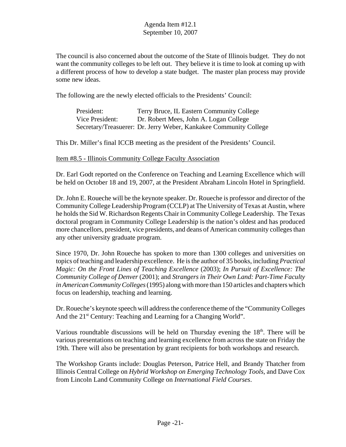The council is also concerned about the outcome of the State of Illinois budget. They do not want the community colleges to be left out. They believe it is time to look at coming up with a different process of how to develop a state budget. The master plan process may provide some new ideas.

The following are the newly elected officials to the Presidents' Council:

| President:      | Terry Bruce, IL Eastern Community College                         |
|-----------------|-------------------------------------------------------------------|
| Vice President: | Dr. Robert Mees, John A. Logan College                            |
|                 | Secretary/Treasuerer: Dr. Jerry Weber, Kankakee Community College |

This Dr. Miller's final ICCB meeting as the president of the Presidents' Council.

#### Item #8.5 - Illinois Community College Faculty Association

Dr. Earl Godt reported on the Conference on Teaching and Learning Excellence which will be held on October 18 and 19, 2007, at the President Abraham Lincoln Hotel in Springfield.

Dr. John E. Roueche will be the keynote speaker. Dr. Roueche is professor and director of the Community College Leadership Program (CCLP) at The University of Texas at Austin, where he holds the Sid W. Richardson Regents Chair in Community College Leadership. The Texas doctoral program in Community College Leadership is the nation's oldest and has produced more chancellors, president, vice presidents, and deans of American community colleges than any other university graduate program.

Since 1970, Dr. John Roueche has spoken to more than 1300 colleges and universities on topics of teaching and leadership excellence. He is the author of 35 books, including *Practical Magic: On the Front Lines of Teaching Excellence* (2003); *In Pursuit of Excellence: The Community College of Denver* (2001); and *Strangers in Their Own Land: Part-Time Faculty in American Community Colleges* (1995) along with more than 150 articles and chapters which focus on leadership, teaching and learning.

Dr. Roueche's keynote speech will address the conference theme of the "Community Colleges And the 21<sup>st</sup> Century: Teaching and Learning for a Changing World".

Various roundtable discussions will be held on Thursday evening the 18<sup>th</sup>. There will be various presentations on teaching and learning excellence from across the state on Friday the 19th. There will also be presentation by grant recipients for both workshops and research.

The Workshop Grants include: Douglas Peterson, Patrice Hell, and Brandy Thatcher from Illinois Central College on *Hybrid Workshop on Emerging Technology Tools*, and Dave Cox from Lincoln Land Community College on *International Field Courses*.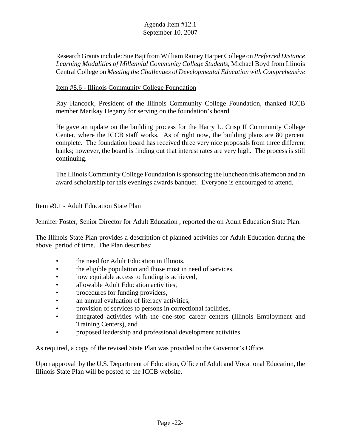Research Grants include: Sue Bajt from William Rainey Harper College on *Preferred Distance Learning Modalities of Millennial Community College Students*, Michael Boyd from Illinois Central College on *Meeting the Challenges of Developmental Education with Comprehensive* 

## Item #8.6 - Illinois Community College Foundation

Ray Hancock, President of the Illinois Community College Foundation, thanked ICCB member Marikay Hegarty for serving on the foundation's board.

He gave an update on the building process for the Harry L. Crisp II Community College Center, where the ICCB staff works. As of right now, the building plans are 80 percent complete. The foundation board has received three very nice proposals from three different banks; however, the board is finding out that interest rates are very high. The process is still continuing.

The Illinois Community College Foundation is sponsoring the luncheon this afternoon and an award scholarship for this evenings awards banquet. Everyone is encouraged to attend.

## Item #9.1 - Adult Education State Plan

Jennifer Foster, Senior Director for Adult Education , reported the on Adult Education State Plan.

The Illinois State Plan provides a description of planned activities for Adult Education during the above period of time. The Plan describes:

- the need for Adult Education in Illinois,
- the eligible population and those most in need of services,
- how equitable access to funding is achieved,
- allowable Adult Education activities.
- procedures for funding providers.
- an annual evaluation of literacy activities,
- provision of services to persons in correctional facilities,
- integrated activities with the one-stop career centers (Illinois Employment and Training Centers), and
- proposed leadership and professional development activities.

As required, a copy of the revised State Plan was provided to the Governor's Office.

Upon approval by the U.S. Department of Education, Office of Adult and Vocational Education, the Illinois State Plan will be posted to the ICCB website.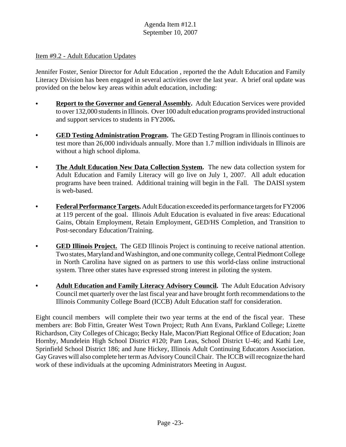#### Item #9.2 - Adult Education Updates

Jennifer Foster, Senior Director for Adult Education , reported the the Adult Education and Family Literacy Division has been engaged in several activities over the last year. A brief oral update was provided on the below key areas within adult education, including:

- **Report to the Governor and General Assembly.** Adult Education Services were provided to over 132,000 students in Illinois. Over 100 adult education programs provided instructional and support services to students in FY2006**.**
- **GED Testing Administration Program.** The GED Testing Program in Illinois continues to test more than 26,000 individuals annually. More than 1.7 million individuals in Illinois are without a high school diploma.
- **The Adult Education New Data Collection System.** The new data collection system for Adult Education and Family Literacy will go live on July 1, 2007. All adult education programs have been trained. Additional training will begin in the Fall. The DAISI system is web-based.
- **Federal Performance Targets.** Adult Education exceeded its performance targets for FY2006 at 119 percent of the goal. Illinois Adult Education is evaluated in five areas: Educational Gains, Obtain Employment, Retain Employment, GED/HS Completion, and Transition to Post-secondary Education/Training.
- **GED Illinois Project.** The GED Illinois Project is continuing to receive national attention. Two states, Maryland and Washington, and one community college, Central Piedmont College in North Carolina have signed on as partners to use this world-class online instructional system. Three other states have expressed strong interest in piloting the system.
- **Adult Education and Family Literacy Advisory Council.** The Adult Education Advisory Council met quarterly over the last fiscal year and have brought forth recommendations to the Illinois Community College Board (ICCB) Adult Education staff for consideration.

Eight council members will complete their two year terms at the end of the fiscal year. These members are: Bob Fittin, Greater West Town Project; Ruth Ann Evans, Parkland College; Lizette Richardson, City Colleges of Chicago; Becky Hale, Macon/Piatt Regional Office of Education; Joan Hornby, Mundelein High School District #120; Pam Leas, School District U-46; and Kathi Lee, Sprinfield School District 186; and June Hickey, Illinois Adult Continuing Educators Association. Gay Graves will also complete her term as Advisory Council Chair. The ICCB will recognize the hard work of these individuals at the upcoming Administrators Meeting in August.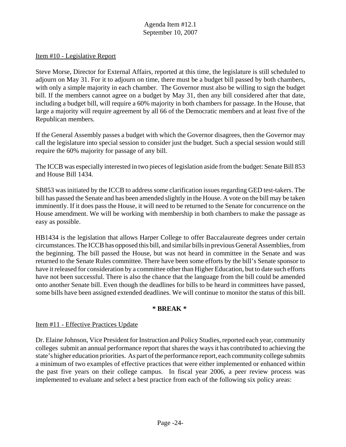#### Item #10 - Legislative Report

Steve Morse, Director for External Affairs, reported at this time, the legislature is still scheduled to adjourn on May 31. For it to adjourn on time, there must be a budget bill passed by both chambers, with only a simple majority in each chamber. The Governor must also be willing to sign the budget bill. If the members cannot agree on a budget by May 31, then any bill considered after that date, including a budget bill, will require a 60% majority in both chambers for passage. In the House, that large a majority will require agreement by all 66 of the Democratic members and at least five of the Republican members.

If the General Assembly passes a budget with which the Governor disagrees, then the Governor may call the legislature into special session to consider just the budget. Such a special session would still require the 60% majority for passage of any bill.

The ICCB was especially interested in two pieces of legislation aside from the budget: Senate Bill 853 and House Bill 1434.

SB853 was initiated by the ICCB to address some clarification issues regarding GED test-takers. The bill has passed the Senate and has been amended slightly in the House. A vote on the bill may be taken imminently. If it does pass the House, it will need to be returned to the Senate for concurrence on the House amendment. We will be working with membership in both chambers to make the passage as easy as possible.

HB1434 is the legislation that allows Harper College to offer Baccalaureate degrees under certain circumstances. The ICCB has opposed this bill, and similar bills in previous General Assemblies, from the beginning. The bill passed the House, but was not heard in committee in the Senate and was returned to the Senate Rules committee. There have been some efforts by the bill's Senate sponsor to have it released for consideration by a committee other than Higher Education, but to date such efforts have not been successful. There is also the chance that the language from the bill could be amended onto another Senate bill. Even though the deadlines for bills to be heard in committees have passed, some bills have been assigned extended deadlines. We will continue to monitor the status of this bill.

#### **\* BREAK \***

#### Item #11 - Effective Practices Update

 the past five years on their college campus. In fiscal year 2006, a peer review process was Dr. Elaine Johnson, Vice President for Instruction and Policy Studies, reported each year, community colleges submit an annual performance report that shares the ways it has contributed to achieving the state's higher education priorities. As part of the performance report, each community college submits a minimum of two examples of effective practices that were either implemented or enhanced within implemented to evaluate and select a best practice from each of the following six policy areas: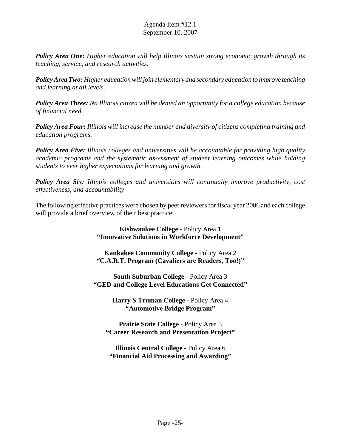*Policy Area One: Higher education will help Illinois sustain strong economic growth through its teaching, service, and research activities.* 

*Policy Area Two: Higher education will join elementary and secondary education to improve teaching and learning at all levels.* 

*Policy Area Three: No Illinois citizen will be denied an opportunity for a college education because of financial need.* 

*Policy Area Four: Illinois will increase the number and diversity of citizens completing training and education programs.* 

*Policy Area Five: Illinois colleges and universities will be accountable for providing high quality academic programs and the systematic assessment of student learning outcomes while holding students to ever higher expectations for learning and growth.* 

*Policy Area Six: Illinois colleges and universities will continually improve productivity, cost effectiveness, and accountability* 

The following effective practices were chosen by peer reviewers for fiscal year 2006 and each college will provide a brief overview of their best practice:

> **Kishwaukee College** - Policy Area 1 **"Innovative Solutions in Workforce Development"**

> **Kankakee Community College** - Policy Area 2 **"C.A.R.T. Program (Cavaliers are Readers, Too!)"**

**South Suburban College** - Policy Area 3 **"GED and College Level Educations Get Connected"**

> **Harry S Truman College -** Policy Area 4 **"Automotive Bridge Program"**

**Prairie State College** - Policy Area 5 **"Career Research and Presentation Project"**

**Illinois Central College** - Policy Area 6 **"Financial Aid Processing and Awarding"**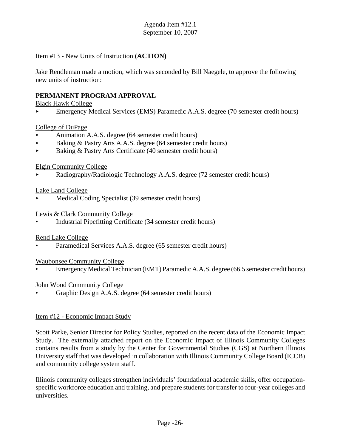#### Item #13 - New Units of Instruction **(ACTION)**

Jake Rendleman made a motion, which was seconded by Bill Naegele, to approve the following new units of instruction:

#### **PERMANENT PROGRAM APPROVAL**

Black Hawk College

< Emergency Medical Services (EMS) Paramedic A.A.S. degree (70 semester credit hours)

#### College of DuPage

- < Animation A.A.S. degree (64 semester credit hours)
- < Baking & Pastry Arts A.A.S. degree (64 semester credit hours)
- Baking & Pastry Arts Certificate (40 semester credit hours)

#### Elgin Community College

< Radiography/Radiologic Technology A.A.S. degree (72 semester credit hours)

#### Lake Land College

Medical Coding Specialist (39 semester credit hours)

#### Lewis & Clark Community College

• Industrial Pipefitting Certificate (34 semester credit hours)

#### Rend Lake College

Paramedical Services A.A.S. degree (65 semester credit hours)

#### Waubonsee Community College

• Emergency Medical Technician (EMT) Paramedic A.A.S. degree (66.5 semester credit hours)

#### John Wood Community College

• Graphic Design A.A.S. degree (64 semester credit hours)

#### Item #12 - Economic Impact Study

Scott Parke, Senior Director for Policy Studies, reported on the recent data of the Economic Impact Study. The externally attached report on the Economic Impact of Illinois Community Colleges contains results from a study by the Center for Governmental Studies (CGS) at Northern Illinois University staff that was developed in collaboration with Illinois Community College Board (ICCB) and community college system staff.

Illinois community colleges strengthen individuals' foundational academic skills, offer occupationspecific workforce education and training, and prepare students for transfer to four-year colleges and universities.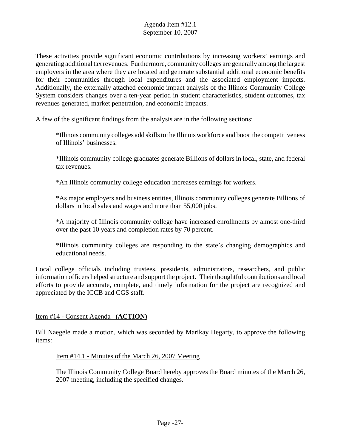These activities provide significant economic contributions by increasing workers' earnings and generating additional tax revenues. Furthermore, community colleges are generally among the largest employers in the area where they are located and generate substantial additional economic benefits for their communities through local expenditures and the associated employment impacts. Additionally, the externally attached economic impact analysis of the Illinois Community College System considers changes over a ten-year period in student characteristics, student outcomes, tax revenues generated, market penetration, and economic impacts.

A few of the significant findings from the analysis are in the following sections:

\*Illinois community colleges add skills to the Illinois workforce and boost the competitiveness of Illinois' businesses.

\*Illinois community college graduates generate Billions of dollars in local, state, and federal tax revenues.

\*An Illinois community college education increases earnings for workers.

\*As major employers and business entities, Illinois community colleges generate Billions of dollars in local sales and wages and more than 55,000 jobs.

\*A majority of Illinois community college have increased enrollments by almost one-third over the past 10 years and completion rates by 70 percent.

\*Illinois community colleges are responding to the state's changing demographics and educational needs.

Local college officials including trustees, presidents, administrators, researchers, and public information officers helped structure and support the project. Their thoughtful contributions and local efforts to provide accurate, complete, and timely information for the project are recognized and appreciated by the ICCB and CGS staff.

#### Item #14 - Consent Agenda **(ACTION)**

Bill Naegele made a motion, which was seconded by Marikay Hegarty, to approve the following items:

#### Item #14.1 - Minutes of the March 26, 2007 Meeting

The Illinois Community College Board hereby approves the Board minutes of the March 26, 2007 meeting, including the specified changes.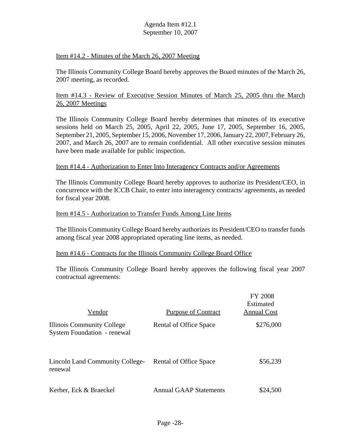#### Item #14.2 - Minutes of the March 26, 2007 Meeting

The Illinois Community College Board hereby approves the Board minutes of the March 26, 2007 meeting, as recorded.

#### Item #14.3 - Review of Executive Session Minutes of March 25, 2005 thru the March 26, 2007 Meetings

The Illinois Community College Board hereby determines that minutes of its executive sessions held on March 25, 2005, April 22, 2005, June 17, 2005, September 16, 2005, September 21, 2005, September 15, 2006, November 17, 2006, January 22, 2007, February 26, 2007, and March 26, 2007 are to remain confidential. All other executive session minutes have been made available for public inspection.

#### Item #14.4 - Authorization to Enter Into Interagency Contracts and/or Agreements

The Illinois Community College Board hereby approves to authorize its President/CEO, in concurrence with the ICCB Chair, to enter into interagency contracts/ agreements, as needed for fiscal year 2008.

#### Item #14.5 - Authorization to Transfer Funds Among Line Items

The Illinois Community College Board hereby authorizes its President/CEO to transfer funds among fiscal year 2008 appropriated operating line items, as needed.

#### Item #14.6 - Contracts for the Illinois Community College Board Office

The Illinois Community College Board hereby approves the following fiscal year 2007 contractual agreements:

| Vendor                                                           | <b>Purpose of Contract</b>    | <b>FY 2008</b><br>Estimated<br><b>Annual Cost</b> |
|------------------------------------------------------------------|-------------------------------|---------------------------------------------------|
| Illinois Community College<br><b>System Foundation - renewal</b> | Rental of Office Space        | \$276,000                                         |
| <b>Lincoln Land Community College-</b><br>renewal                | Rental of Office Space        | \$56,239                                          |
| Kerber, Eck & Braeckel                                           | <b>Annual GAAP Statements</b> | \$24,500                                          |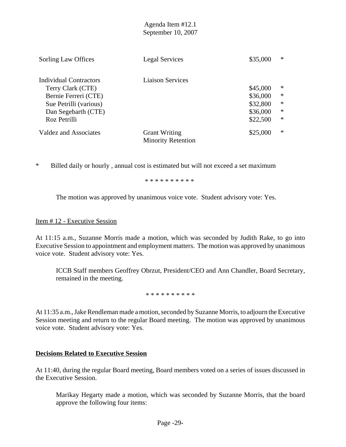| Sorling Law Offices    | <b>Legal Services</b>                             | \$35,000 | ∗      |
|------------------------|---------------------------------------------------|----------|--------|
| Individual Contractors | <b>Liaison Services</b>                           |          |        |
| Terry Clark (CTE)      |                                                   | \$45,000 | $*$    |
| Bernie Ferreri (CTE)   |                                                   | \$36,000 | $\ast$ |
| Sue Petrilli (various) |                                                   | \$32,800 | $\ast$ |
| Dan Segebarth (CTE)    |                                                   | \$36,000 | $\ast$ |
| Roz Petrilli           |                                                   | \$22,500 | $\ast$ |
| Valdez and Associates  | <b>Grant Writing</b><br><b>Minority Retention</b> | \$25,000 | $\ast$ |

\* Billed daily or hourly , annual cost is estimated but will not exceed a set maximum

\* \* \* \* \* \* \* \* \* \*

The motion was approved by unanimous voice vote. Student advisory vote: Yes.

#### Item # 12 - Executive Session

At 11:15 a.m., Suzanne Morris made a motion, which was seconded by Judith Rake, to go into Executive Session to appointment and employment matters. The motion was approved by unanimous voice vote. Student advisory vote: Yes.

ICCB Staff members Geoffrey Obrzut, President/CEO and Ann Chandler, Board Secretary, remained in the meeting.

\* \* \* \* \* \* \* \* \* \*

At 11:35 a.m., Jake Rendleman made a motion, seconded by Suzanne Morris, to adjourn the Executive Session meeting and return to the regular Board meeting. The motion was approved by unanimous voice vote. Student advisory vote: Yes.

## **Decisions Related to Executive Session**

At 11:40, during the regular Board meeting, Board members voted on a series of issues discussed in the Executive Session.

Marikay Hegarty made a motion, which was seconded by Suzanne Morris, that the board approve the following four items: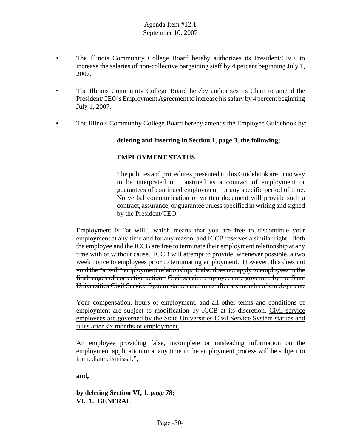- The Illinois Community College Board hereby authorizes its President/CEO, to increase the salaries of non-collective bargaining staff by 4 percent beginning July 1, 2007.
- The Illinois Community College Board hereby authorizes its Chair to amend the President/CEO's Employment Agreement to increase his salary by 4 percent beginning July 1, 2007.
- The Illinois Community College Board hereby amends the Employee Guidebook by:

## **deleting and inserting in Section 1, page 3, the following;**

## **EMPLOYMENT STATUS**

The policies and procedures presented in this Guidebook are in no way to be interpreted or construed as a contract of employment or guarantees of continued employment for any specific period of time. No verbal communication or written document will provide such a contract, assurance, or guarantee unless specified in writing and signed by the President/CEO.

Employment is "at will", which means that you are free to discontinue your employment at any time and for any reason, and ICCB reserves a similar right. Both the employee and the ICCB are free to terminate their employment relationship at any time with or without cause. ICCB will attempt to provide, whenever possible, a two week notice to employees prior to terminating employment. However, this does not void the "at will" employment relationship. It also does not apply to employees in the final stages of corrective action. Civil service employees are governed by the State Universities Civil Service System statues and rules after six months of employment.

Your compensation, hours of employment, and all other terms and conditions of employment are subject to modification by ICCB at its discretion. Civil service employees are governed by the State Universities Civil Service System statues and rules after six months of employment.

An employee providing false, incomplete or misleading information on the employment application or at any time in the employment process will be subject to immediate dismissal.";

**and,** 

**by deleting Section VI, 1. page 78; VI. 1. GENERAL**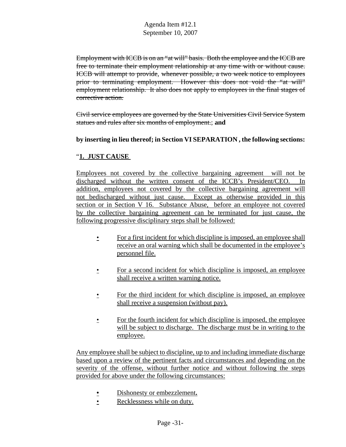Employment with ICCB is on an "at will" basis. Both the employee and the ICCB are free to terminate their employment relationship at any time with or without cause. ICCB will attempt to provide, whenever possible, a two week notice to employees prior to terminating employment. However this does not void the "at will" employment relationship. It also does not apply to employees in the final stages of corrective action.

Civil service employees are governed by the State Universities Civil Service System statues and rules after six months of employment.; **and** 

**by inserting in lieu thereof; in Section VI SEPARATION , the following sections:** 

## "**1. JUST CAUSE**

Employees not covered by the collective bargaining agreement will not be discharged without the written consent of the ICCB's President/CEO. In addition, employees not covered by the collective bargaining agreement will not bedischarged without just cause. Except as otherwise provided in this section or in Section V 16. Substance Abuse, before an employee not covered by the collective bargaining agreement can be terminated for just cause, the following progressive disciplinary steps shall be followed:

- For a first incident for which discipline is imposed, an employee shall receive an oral warning which shall be documented in the employee's personnel file.
- For a second incident for which discipline is imposed, an employee shall receive a written warning notice.
- For the third incident for which discipline is imposed, an employee shall receive a suspension (without pay).
- For the fourth incident for which discipline is imposed, the employee will be subject to discharge. The discharge must be in writing to the employee.

Any employee shall be subject to discipline, up to and including immediate discharge based upon a review of the pertinent facts and circumstances and depending on the severity of the offense, without further notice and without following the steps provided for above under the following circumstances:

- Dishonesty or embezzlement**.**
- Recklessness while on duty.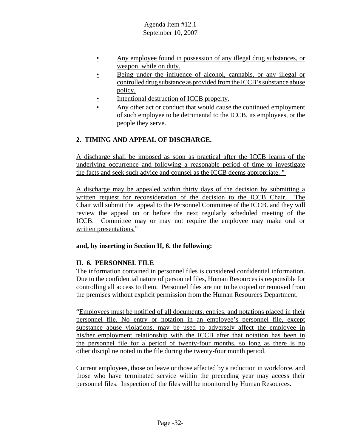- Any employee found in possession of any illegal drug substances, or weapon, while on duty.
- Being under the influence of alcohol, cannabis, or any illegal or controlled drug substance as provided from the ICCB's substance abuse policy.
- Intentional destruction of ICCB property.
- Any other act or conduct that would cause the continued employment of such employee to be detrimental to the ICCB, its employees, or the people they serve.

# **2. TIMING AND APPEAL OF DISCHARGE.**

A discharge shall be imposed as soon as practical after the ICCB learns of the underlying occurrence and following a reasonable period of time to investigate the facts and seek such advice and counsel as the ICCB deems appropriate. "

A discharge may be appealed within thirty days of the decision by submitting a written request for reconsideration of the decision to the ICCB Chair. The Chair will submit the appeal to the Personnel Committee of the ICCB. and they will review the appeal on or before the next regularly scheduled meeting of the ICCB. Committee may or may not require the employee may make oral or written presentations."

## **and, by inserting in Section II, 6. the following:**

## **II. 6. PERSONNEL FILE**

The information contained in personnel files is considered confidential information. Due to the confidential nature of personnel files, Human Resources is responsible for controlling all access to them. Personnel files are not to be copied or removed from the premises without explicit permission from the Human Resources Department.

"Employees must be notified of all documents, entries, and notations placed in their personnel file. No entry or notation in an employee's personnel file, except substance abuse violations, may be used to adversely affect the employee in his/her employment relationship with the ICCB after that notation has been in the personnel file for a period of twenty-four months, so long as there is no other discipline noted in the file during the twenty-four month period.

Current employees, those on leave or those affected by a reduction in workforce, and those who have terminated service within the preceding year may access their personnel files. Inspection of the files will be monitored by Human Resources.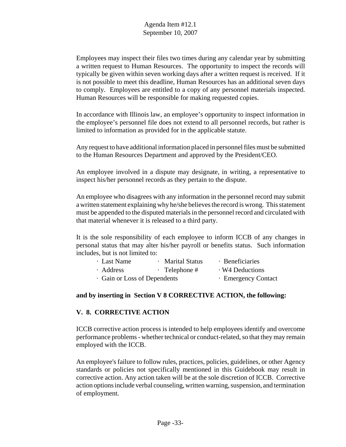Employees may inspect their files two times during any calendar year by submitting a written request to Human Resources. The opportunity to inspect the records will typically be given within seven working days after a written request is received. If it is not possible to meet this deadline, Human Resources has an additional seven days to comply. Employees are entitled to a copy of any personnel materials inspected. Human Resources will be responsible for making requested copies.

 In accordance with Illinois law, an employee's opportunity to inspect information in the employee's personnel file does not extend to all personnel records, but rather is limited to information as provided for in the applicable statute.

 Any request to have additional information placed in personnel files must be submitted to the Human Resources Department and approved by the President/CEO.

An employee involved in a dispute may designate, in writing, a representative to inspect his/her personnel records as they pertain to the dispute.

An employee who disagrees with any information in the personnel record may submit a written statement explaining why he/she believes the record is wrong. This statement must be appended to the disputed materials in the personnel record and circulated with that material whenever it is released to a third party.

It is the sole responsibility of each employee to inform ICCB of any changes in personal status that may alter his/her payroll or benefits status. Such information includes, but is not limited to:

| · Last Name                  | · Marital Status    | · Beneficiaries     |
|------------------------------|---------------------|---------------------|
| · Address                    | $\cdot$ Telephone # | W4 Deductions       |
| · Gain or Loss of Dependents |                     | · Emergency Contact |

## **and by inserting in Section V 8 CORRECTIVE ACTION, the following:**

## **V. 8. CORRECTIVE ACTION**

ICCB corrective action process is intended to help employees identify and overcome performance problems - whether technical or conduct-related, so that they may remain employed with the ICCB.

An employee's failure to follow rules, practices, policies, guidelines, or other Agency standards or policies not specifically mentioned in this Guidebook may result in corrective action. Any action taken will be at the sole discretion of ICCB. Corrective action options include verbal counseling, written warning, suspension, and termination of employment.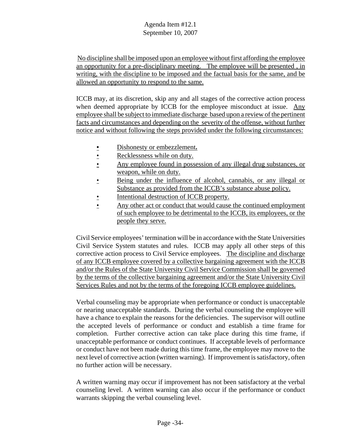No discipline shall be imposed upon an employee without first affording the employee an opportunity for a pre-disciplinary meeting. The employee will be presented , in writing, with the discipline to be imposed and the factual basis for the same, and be allowed an opportunity to respond to the same.

 ICCB may, at its discretion, skip any and all stages of the corrective action process when deemed appropriate by ICCB for the employee misconduct at issue. Any employee shall be subject to immediate discharge based upon a review of the pertinent facts and circumstances and depending on the severity of the offense, without further notice and without following the steps provided under the following circumstances:

- Dishonesty or embezzlement**.**
- Recklessness while on duty.
- Any employee found in possession of any illegal drug substances, or weapon, while on duty.
- Being under the influence of alcohol, cannabis, or any illegal or Substance as provided from the ICCB's substance abuse policy.
- Intentional destruction of ICCB property.
- Any other act or conduct that would cause the continued employment of such employee to be detrimental to the ICCB, its employees, or the people they serve.

Civil Service employees' termination will be in accordance with the State Universities Civil Service System statutes and rules. ICCB may apply all other steps of this corrective action process to Civil Service employees. The discipline and discharge of any ICCB employee covered by a collective bargaining agreement with the ICCB and/or the Rules of the State University Civil Service Commission shall be governed by the terms of the collective bargaining agreement and/or the State University Civil Services Rules and not by the terms of the foregoing ICCB employee guidelines.

Verbal counseling may be appropriate when performance or conduct is unacceptable or nearing unacceptable standards. During the verbal counseling the employee will have a chance to explain the reasons for the deficiencies. The supervisor will outline the accepted levels of performance or conduct and establish a time frame for completion. Further corrective action can take place during this time frame, if unacceptable performance or conduct continues. If acceptable levels of performance or conduct have not been made during this time frame, the employee may move to the next level of corrective action (written warning). If improvement is satisfactory, often no further action will be necessary.

A written warning may occur if improvement has not been satisfactory at the verbal counseling level. A written warning can also occur if the performance or conduct warrants skipping the verbal counseling level.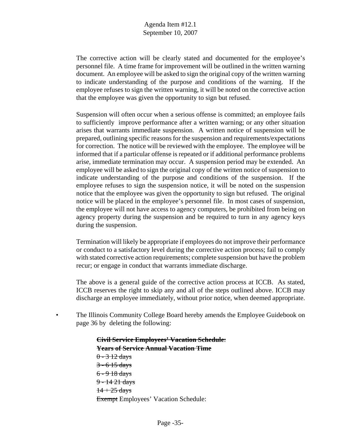The corrective action will be clearly stated and documented for the employee's personnel file. A time frame for improvement will be outlined in the written warning document. An employee will be asked to sign the original copy of the written warning to indicate understanding of the purpose and conditions of the warning. If the employee refuses to sign the written warning, it will be noted on the corrective action that the employee was given the opportunity to sign but refused.

Suspension will often occur when a serious offense is committed; an employee fails to sufficiently improve performance after a written warning; or any other situation arises that warrants immediate suspension. A written notice of suspension will be prepared, outlining specific reasons for the suspension and requirements/expectations for correction. The notice will be reviewed with the employee. The employee will be informed that if a particular offense is repeated or if additional performance problems arise, immediate termination may occur. A suspension period may be extended. An employee will be asked to sign the original copy of the written notice of suspension to indicate understanding of the purpose and conditions of the suspension. If the employee refuses to sign the suspension notice, it will be noted on the suspension notice that the employee was given the opportunity to sign but refused. The original notice will be placed in the employee's personnel file. In most cases of suspension, the employee will not have access to agency computers, be prohibited from being on agency property during the suspension and be required to turn in any agency keys during the suspension.

Termination will likely be appropriate if employees do not improve their performance or conduct to a satisfactory level during the corrective action process; fail to comply with stated corrective action requirements; complete suspension but have the problem recur; or engage in conduct that warrants immediate discharge.

The above is a general guide of the corrective action process at ICCB. As stated, ICCB reserves the right to skip any and all of the steps outlined above. ICCB may discharge an employee immediately, without prior notice, when deemed appropriate.

The Illinois Community College Board hereby amends the Employee Guidebook on page 36 by deleting the following:

> **Civil Service Employees' Vacation Schedule**: **Years of Service Annual Vacation Time**   $0 - 3$  12 days  $3 - 6$  15 days 6 - 9 18 days 9 - 14 21 days  $14 + 25$  days Exempt Employees' Vacation Schedule: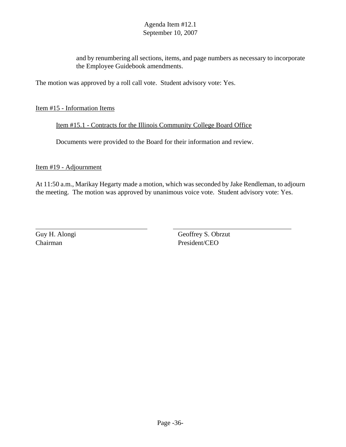and by renumbering all sections, items, and page numbers as necessary to incorporate the Employee Guidebook amendments.

The motion was approved by a roll call vote. Student advisory vote: Yes.

## Item #15 - Information Items

Item #15.1 - Contracts for the Illinois Community College Board Office

Documents were provided to the Board for their information and review.

Item #19 - Adjournment

At 11:50 a.m., Marikay Hegarty made a motion, which was seconded by Jake Rendleman, to adjourn the meeting. The motion was approved by unanimous voice vote. Student advisory vote: Yes.

Chairman President/CEO

Guy H. Alongi Geoffrey S. Obrzut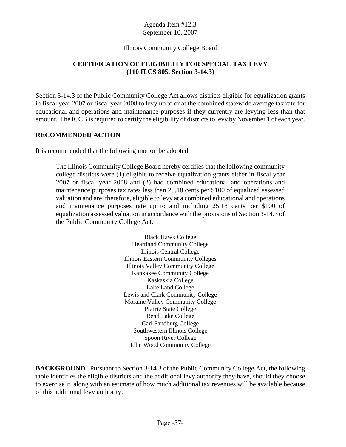## Illinois Community College Board

# **CERTIFICATION OF ELIGIBILITY FOR SPECIAL TAX LEVY (110 ILCS 805, Section 3-14.3)**

Section 3-14.3 of the Public Community College Act allows districts eligible for equalization grants in fiscal year 2007 or fiscal year 2008 to levy up to or at the combined statewide average tax rate for educational and operations and maintenance purposes if they currently are levying less than that amount. The ICCB is required to certify the eligibility of districts to levy by November 1 of each year.

## **RECOMMENDED ACTION**

It is recommended that the following motion be adopted:

The Illinois Community College Board hereby certifies that the following community college districts were (1) eligible to receive equalization grants either in fiscal year 2007 or fiscal year 2008 and (2) had combined educational and operations and maintenance purposes tax rates less than 25.18 cents per \$100 of equalized assessed valuation and are, therefore, eligible to levy at a combined educational and operations and maintenance purposes rate up to and including 25.18 cents per \$100 of equalization assessed valuation in accordance with the provisions of Section 3-14.3 of the Public Community College Act:

> Black Hawk College Heartland Community College Illinois Central College Illinois Eastern Community Colleges Illinois Valley Community College Kankakee Community College Kaskaskia College Lake Land College Lewis and Clark Community College Moraine Valley Community College Prairie State College Rend Lake College Carl Sandburg College Southwestern Illinois College Spoon River College John Wood Community College

**BACKGROUND.** Pursuant to Section 3-14.3 of the Public Community College Act, the following table identifies the eligible districts and the additional levy authority they have, should they choose to exercise it, along with an estimate of how much additional tax revenues will be available because of this additional levy authority.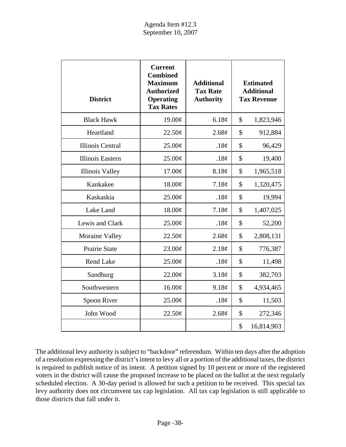| <b>District</b>         | <b>Current</b><br><b>Combined</b><br><b>Maximum</b><br><b>Authorized</b><br><b>Operating</b><br><b>Tax Rates</b> | <b>Additional</b><br><b>Tax Rate</b><br><b>Authority</b> | <b>Estimated</b><br><b>Additional</b><br><b>Tax Revenue</b> |
|-------------------------|------------------------------------------------------------------------------------------------------------------|----------------------------------------------------------|-------------------------------------------------------------|
| <b>Black Hawk</b>       | 19.00¢                                                                                                           | 6.18¢                                                    | \$<br>1,823,946                                             |
| Heartland               | 22.50¢                                                                                                           | 2.68¢                                                    | \$<br>912,884                                               |
| <b>Illinois Central</b> | 25.00¢                                                                                                           | .18¢                                                     | \$<br>96,429                                                |
| Illinois Eastern        | 25.00¢                                                                                                           | .18 $\phi$                                               | \$<br>19,400                                                |
| <b>Illinois Valley</b>  | 17.00¢                                                                                                           | 8.18¢                                                    | \$<br>1,965,518                                             |
| Kankakee                | 18.00¢                                                                                                           | 7.18¢                                                    | \$<br>1,320,475                                             |
| Kaskaskia               | 25.00¢                                                                                                           | .18¢                                                     | \$<br>19,994                                                |
| Lake Land               | 18.00¢                                                                                                           | 7.18¢                                                    | \$<br>1,407,025                                             |
| Lewis and Clark         | 25.00¢                                                                                                           | .18¢                                                     | \$<br>52,200                                                |
| Moraine Valley          | 22.50¢                                                                                                           | 2.68¢                                                    | \$<br>2,808,131                                             |
| Prairie State           | 23.00¢                                                                                                           | 2.18¢                                                    | \$<br>776,387                                               |
| Rend Lake               | 25.00¢                                                                                                           | .18 $\phi$                                               | \$<br>11,498                                                |
| Sandburg                | 22.00¢                                                                                                           | 3.18¢                                                    | \$<br>382,703                                               |
| Southwestern            | 16.00¢                                                                                                           | 9.18¢                                                    | \$<br>4,934,465                                             |
| Spoon River             | 25.00¢                                                                                                           | .18 $\phi$                                               | \$<br>11,503                                                |
| John Wood               | 22.50¢                                                                                                           | 2.68¢                                                    | \$<br>272,346                                               |
|                         |                                                                                                                  |                                                          | \$<br>16,814,903                                            |

The additional levy authority is subject to "backdoor" referendum. Within ten days after the adoption of a resolution expressing the district's intent to levy all or a portion of the additional taxes, the district is required to publish notice of its intent. A petition signed by 10 percent or more of the registered voters in the district will cause the proposed increase to be placed on the ballot at the next regularly scheduled election. A 30-day period is allowed for such a petition to be received. This special tax levy authority does not circumvent tax cap legislation. All tax cap legislation is still applicable to those districts that fall under it.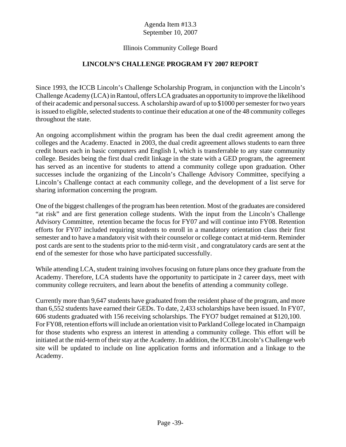## Illinois Community College Board

# **LINCOLN'S CHALLENGE PROGRAM FY 2007 REPORT**

Since 1993, the ICCB Lincoln's Challenge Scholarship Program, in conjunction with the Lincoln's Challenge Academy (LCA) in Rantoul, offers LCA graduates an opportunity to improve the likelihood of their academic and personal success. A scholarship award of up to \$1000 per semester for two years is issued to eligible, selected students to continue their education at one of the 48 community colleges throughout the state.

An ongoing accomplishment within the program has been the dual credit agreement among the colleges and the Academy. Enacted in 2003, the dual credit agreement allows students to earn three credit hours each in basic computers and English I, which is transferrable to any state community college. Besides being the first dual credit linkage in the state with a GED program, the agreement has served as an incentive for students to attend a community college upon graduation. Other successes include the organizing of the Lincoln's Challenge Advisory Committee, specifying a Lincoln's Challenge contact at each community college, and the development of a list serve for sharing information concerning the program.

One of the biggest challenges of the program has been retention. Most of the graduates are considered "at risk" and are first generation college students. With the input from the Lincoln's Challenge Advisory Committee, retention became the focus for FY07 and will continue into FY08. Retention efforts for FY07 included requiring students to enroll in a mandatory orientation class their first semester and to have a mandatory visit with their counselor or college contact at mid-term. Reminder post cards are sent to the students prior to the mid-term visit , and congratulatory cards are sent at the end of the semester for those who have participated successfully.

While attending LCA, student training involves focusing on future plans once they graduate from the Academy. Therefore, LCA students have the opportunity to participate in 2 career days, meet with community college recruiters, and learn about the benefits of attending a community college.

Currently more than 9,647 students have graduated from the resident phase of the program, and more than 6,552 students have earned their GEDs. To date, 2,433 scholarships have been issued. In FY07, 606 students graduated with 156 receiving scholarships. The FYO7 budget remained at \$120,100. For FY08, retention efforts will include an orientation visit to Parkland College located in Champaign for those students who express an interest in attending a community college. This effort will be initiated at the mid-term of their stay at the Academy. In addition, the ICCB/Lincoln's Challenge web site will be updated to include on line application forms and information and a linkage to the Academy.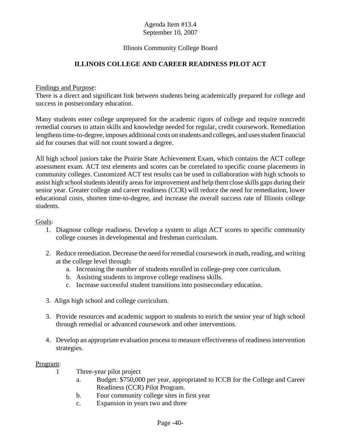## Illinois Community College Board

# **ILLINOIS COLLEGE AND CAREER READINESS PILOT ACT**

#### Findings and Purpose:

There is a direct and significant link between students being academically prepared for college and success in postsecondary education.

Many students enter college unprepared for the academic rigors of college and require noncredit remedial courses to attain skills and knowledge needed for regular, credit coursework. Remediation lengthens time-to-degree, imposes additional costs on students and colleges, and uses student financial aid for courses that will not count toward a degree.

All high school juniors take the Prairie State Achievement Exam, which contains the ACT college assessment exam. ACT test elements and scores can be correlated to specific course placements in community colleges. Customized ACT test results can be used in collaboration with high schools to assist high school students identify areas for improvement and help them close skills gaps during their senior year. Greater college and career readiness (CCR) will reduce the need for remediation, lower educational costs, shorten time-to-degree, and increase the overall success rate of Illinois college students.

Goals:

- 1. Diagnose college readiness. Develop a system to align ACT scores to specific community college courses in developmental and freshman curriculum.
- 2. Reduce remediation. Decrease the need for remedial coursework in math, reading, and writing at the college level through:
	- a. Increasing the number of students enrolled in college-prep core curriculum.
	- b. Assisting students to improve college readiness skills.
	- c. Increase successful student transitions into postsecondary education.
- 3. Align high school and college curriculum.
- 3. Provide resources and academic support to students to enrich the senior year of high school through remedial or advanced coursework and other interventions.
- 4. Develop an appropriate evaluation process to measure effectiveness of readiness intervention strategies.

#### Program:

- 1 Three-year pilot project
	- a. Budget: \$750,000 per year, appropriated to ICCB for the College and Career Readiness (CCR) Pilot Program.
	- b. Four community college sites in first year
	- c. Expansion in years two and three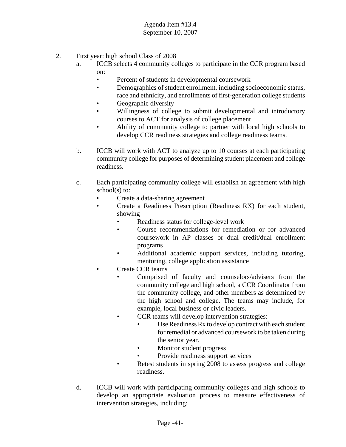- 2. First year: high school Class of 2008
	- a. ICCB selects 4 community colleges to participate in the CCR program based on:
		- Percent of students in developmental coursework
		- Demographics of student enrollment, including socioeconomic status, race and ethnicity, and enrollments of first-generation college students
		- Geographic diversity
		- Willingness of college to submit developmental and introductory courses to ACT for analysis of college placement
		- Ability of community college to partner with local high schools to develop CCR readiness strategies and college readiness teams.
	- b. ICCB will work with ACT to analyze up to 10 courses at each participating community college for purposes of determining student placement and college readiness.
	- c. Each participating community college will establish an agreement with high school(s) to:
		- Create a data-sharing agreement
		- • Create a Readiness Prescription (Readiness RX) for each student, showing
			- Readiness status for college-level work
			- • Course recommendations for remediation or for advanced coursework in AP classes or dual credit/dual enrollment programs
			- • Additional academic support services, including tutoring, mentoring, college application assistance
			- Create CCR teams
				- Comprised of faculty and counselors/advisers from the community college and high school, a CCR Coordinator from the community college, and other members as determined by the high school and college. The teams may include, for example, local business or civic leaders.
				- CCR teams will develop intervention strategies:
					- Use Readiness Rx to develop contract with each student for remedial or advanced coursework to be taken during the senior year.
					- Monitor student progress
					- Provide readiness support services
				- Retest students in spring 2008 to assess progress and college readiness.
	- d. ICCB will work with participating community colleges and high schools to develop an appropriate evaluation process to measure effectiveness of intervention strategies, including: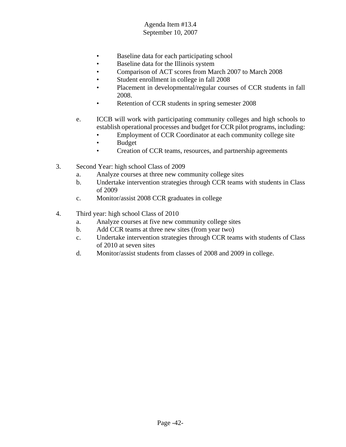- Baseline data for each participating school
- Baseline data for the Illinois system
- Comparison of ACT scores from March 2007 to March 2008
- Student enrollment in college in fall 2008
- Placement in developmental/regular courses of CCR students in fall 2008.
- Retention of CCR students in spring semester 2008
- e. ICCB will work with participating community colleges and high schools to establish operational processes and budget for CCR pilot programs, including:
	- Employment of CCR Coordinator at each community college site
	- Budget
	- Creation of CCR teams, resources, and partnership agreements
- 3. Second Year: high school Class of 2009
	- a. Analyze courses at three new community college sites
	- b. Undertake intervention strategies through CCR teams with students in Class of 2009
	- c. Monitor/assist 2008 CCR graduates in college
- 4. Third year: high school Class of 2010
	- a. Analyze courses at five new community college sites
	- b. Add CCR teams at three new sites (from year two)
	- c. Undertake intervention strategies through CCR teams with students of Class of 2010 at seven sites
	- d. Monitor/assist students from classes of 2008 and 2009 in college.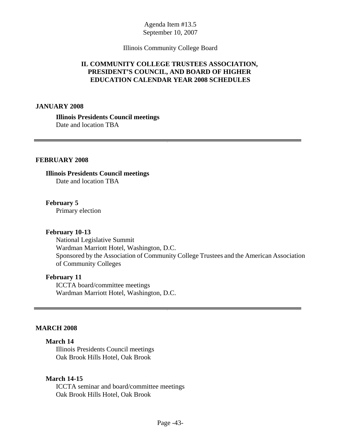#### Illinois Community College Board

## **IL COMMUNITY COLLEGE TRUSTEES ASSOCIATION, PRESIDENT'S COUNCIL, AND BOARD OF HIGHER EDUCATION CALENDAR YEAR 2008 SCHEDULES**

#### **JANUARY 2008**

**Illinois Presidents Council meetings**  Date and location TBA

#### **FEBRUARY 2008**

**Illinois Presidents Council meetings**  Date and location TBA

**February 5**  Primary election

#### **February 10-13**

National Legislative Summit Wardman Marriott Hotel, Washington, D.C. Sponsored by the Association of Community College Trustees and the American Association of Community Colleges

#### **February 11**

ICCTA board/committee meetings Wardman Marriott Hotel, Washington, D.C.

#### **MARCH 2008**

#### **March 14**

Illinois Presidents Council meetings Oak Brook Hills Hotel, Oak Brook

#### **March 14-15**

ICCTA seminar and board/committee meetings Oak Brook Hills Hotel, Oak Brook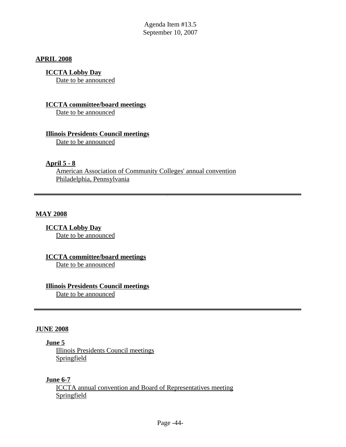#### **APRIL 2008**

## **ICCTA Lobby Day**

Date to be announced

#### **ICCTA committee/board meetings**

Date to be announced

#### **Illinois Presidents Council meetings**

Date to be announced

#### **April 5 - 8**

American Association of Community Colleges' annual convention Philadelphia, Pennsylvania

#### **MAY 2008**

**ICCTA Lobby Day**  Date to be announced

**ICCTA committee/board meetings**  Date to be announced

## **Illinois Presidents Council meetings**

Date to be announced

#### **JUNE 2008**

#### **June 5**

Illinois Presidents Council meetings Springfield

## **June 6-7**

ICCTA annual convention and Board of Representatives meeting **Springfield**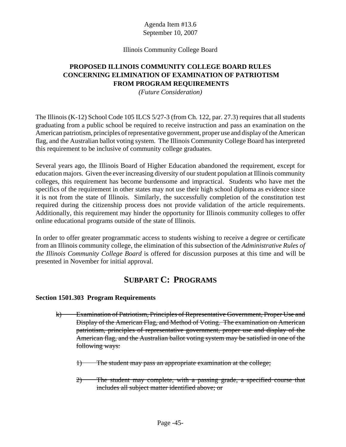## Illinois Community College Board

# **PROPOSED ILLINOIS COMMUNITY COLLEGE BOARD RULES CONCERNING ELIMINATION OF EXAMINATION OF PATRIOTISM FROM PROGRAM REQUIREMENTS**

*(Future Consideration)* 

The Illinois (K-12) School Code 105 ILCS 5/27-3 (from Ch. 122, par. 27.3) requires that all students graduating from a public school be required to receive instruction and pass an examination on the American patriotism, principles of representative government, proper use and display of the American flag, and the Australian ballot voting system. The Illinois Community College Board has interpreted this requirement to be inclusive of community college graduates.

Several years ago, the Illinois Board of Higher Education abandoned the requirement, except for education majors. Given the ever increasing diversity of our student population at Illinois community colleges, this requirement has become burdensome and impractical. Students who have met the specifics of the requirement in other states may not use their high school diploma as evidence since it is not from the state of Illinois. Similarly, the successfully completion of the constitution test required during the citizenship process does not provide validation of the article requirements. Additionally, this requirement may hinder the opportunity for Illinois community colleges to offer online educational programs outside of the state of Illinois.

In order to offer greater programmatic access to students wishing to receive a degree or certificate from an Illinois community college, the elimination of this subsection of the *Administrative Rules of the Illinois Community College Board* is offered for discussion purposes at this time and will be presented in November for initial approval.

# **SUBPART C: PROGRAMS**

## **Section 1501.303 Program Requirements**

- k) Examination of Patriotism, Principles of Representative Government, Proper Use and Display of the American Flag, and Method of Voting. The examination on American patriotism, principles of representative government, proper use and display of the American flag, and the Australian ballot voting system may be satisfied in one of the following ways:
	- 1) The student may pass an appropriate examination at the college;
	- 2) The student may complete, with a passing grade, a specified course that includes all subject matter identified above; or